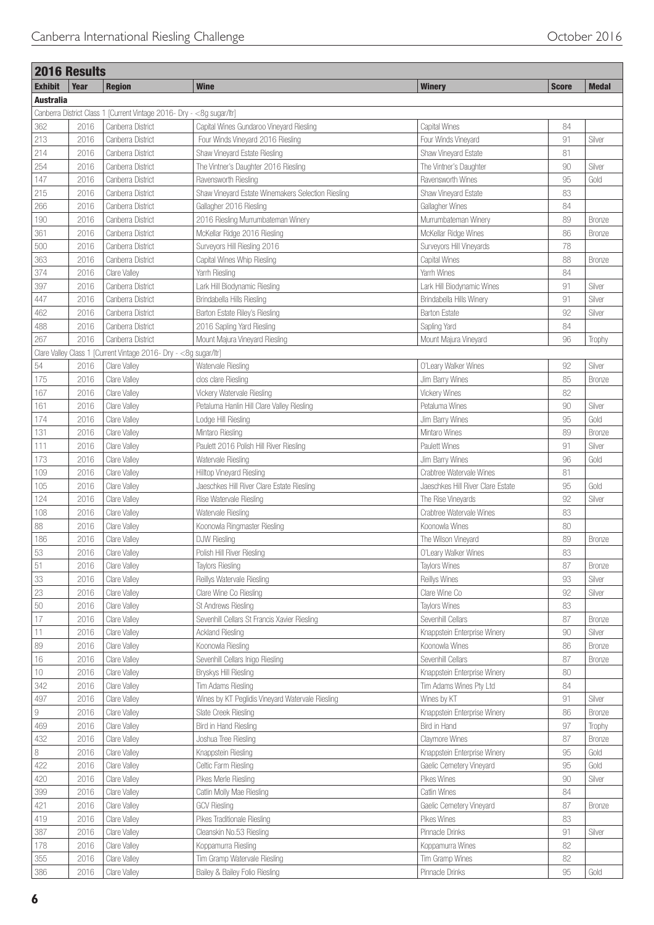|                  | <b>2016 Results</b> |                                                                        |                                                    |                                   |              |               |
|------------------|---------------------|------------------------------------------------------------------------|----------------------------------------------------|-----------------------------------|--------------|---------------|
| <b>Exhibit</b>   | Year                | <b>Region</b>                                                          | <b>Wine</b>                                        | <b>Winery</b>                     | <b>Score</b> | <b>Medal</b>  |
| <b>Australia</b> |                     |                                                                        |                                                    |                                   |              |               |
|                  |                     | Canberra District Class 1 [Current Vintage 2016- Dry - < 8g sugar/ltr] |                                                    |                                   |              |               |
| 362              | 2016                | Canberra District                                                      | Capital Wines Gundaroo Vineyard Riesling           | Capital Wines                     | 84           |               |
| 213              | 2016                | Canberra District                                                      | Four Winds Vineyard 2016 Riesling                  | Four Winds Vineyard               | 91           | Silver        |
| 214              | 2016                | Canberra District                                                      | Shaw Vineyard Estate Riesling                      | Shaw Vineyard Estate              | 81           |               |
| 254              | 2016                | Canberra District                                                      | The Vintner's Daughter 2016 Riesling               | The Vintner's Daughter            | 90           | Silver        |
| 147              | 2016                | Canberra District                                                      | Ravensworth Riesling                               | Ravensworth Wines                 | 95           | Gold          |
| 215              | 2016                | Canberra District                                                      | Shaw Vineyard Estate Winemakers Selection Riesling | Shaw Vineyard Estate              | 83           |               |
| 266              | 2016                | Canberra District                                                      | Gallagher 2016 Riesling                            | Gallagher Wines                   | 84           |               |
| 190              | 2016                | Canberra District                                                      | 2016 Riesling Murrumbateman Winery                 | Murrumbateman Winerv              | 89           | <b>Bronze</b> |
| 361              | 2016                | Canberra District                                                      | McKellar Ridge 2016 Riesling                       | McKellar Ridge Wines              | 86           | <b>Bronze</b> |
| 500              | 2016                | Canberra District                                                      | Surveyors Hill Riesling 2016                       | Surveyors Hill Vineyards          | 78           |               |
| 363              | 2016                | Canberra District                                                      | Capital Wines Whip Riesling                        | Capital Wines                     | 88           | <b>Bronze</b> |
| 374              | 2016                | Clare Valley                                                           | Yarrh Riesling                                     | Yarrh Wines                       | 84           |               |
| 397              | 2016                | Canberra District                                                      | Lark Hill Biodynamic Riesling                      | Lark Hill Biodynamic Wines        | 91           | Silver        |
| 447              | 2016                | Canberra District                                                      | Brindabella Hills Riesling                         | Brindabella Hills Winery          | 91           | Silver        |
|                  |                     | Canberra District                                                      |                                                    | <b>Barton Estate</b>              | 92           | Silver        |
| 462              | 2016                | Canberra District                                                      | Barton Estate Riley's Riesling                     |                                   | 84           |               |
| 488              | 2016                | Canberra District                                                      | 2016 Sapling Yard Riesling                         | Sapling Yard                      |              |               |
| 267              | 2016                |                                                                        | Mount Majura Vineyard Riesling                     | Mount Majura Vineyard             | 96           | Trophy        |
|                  |                     | Clare Valley Class 1 [Current Vintage 2016- Dry - <8g sugar/ltr]       |                                                    |                                   |              |               |
| 54               | 2016                | Clare Valley                                                           | Watervale Riesling                                 | O'Leary Walker Wines              | 92           | Silver        |
| 175              | 2016                | Clare Valley                                                           | clos clare Riesling                                | Jim Barry Wines                   | 85           | <b>Bronze</b> |
| 167              | 2016                | Clare Valley                                                           | Vickery Watervale Riesling                         | <b>Vickery Wines</b>              | 82           |               |
| 161              | 2016                | Clare Valley                                                           | Petaluma Hanlin Hill Clare Valley Riesling         | Petaluma Wines                    | 90           | Silver        |
| 174              | 2016                | Clare Valley                                                           | Lodge Hill Riesling                                | Jim Barry Wines                   | 95           | Gold          |
| 131              | 2016                | Clare Valley                                                           | Mintaro Riesling                                   | Mintaro Wines                     | 89           | Bronze        |
| 111              | 2016                | Clare Valley                                                           | Paulett 2016 Polish Hill River Riesling            | <b>Paulett Wines</b>              | 91           | Silver        |
| 173              | 2016                | Clare Valley                                                           | Watervale Riesling                                 | Jim Barry Wines                   | 96           | Gold          |
| 109              | 2016                | Clare Valley                                                           | Hilltop Vineyard Riesling                          | Crabtree Watervale Wines          | 81           |               |
| 105              | 2016                | Clare Valley                                                           | Jaeschkes Hill River Clare Estate Riesling         | Jaeschkes Hill River Clare Estate | 95           | Gold          |
| 124              | 2016                | Clare Valley                                                           | Rise Watervale Riesling                            | The Rise Vineyards                | 92           | Silver        |
| 108              | 2016                | Clare Valley                                                           | Watervale Riesling                                 | Crabtree Watervale Wines          | 83           |               |
| 88               | 2016                | Clare Valley                                                           | Koonowla Ringmaster Riesling                       | Koonowla Wines                    | 80           |               |
| 186              | 2016                | Clare Valley                                                           | <b>DJW Riesling</b>                                | The Wilson Vineyard               | 89           | <b>Bronze</b> |
| 53               | 2016                | Clare Valley                                                           | Polish Hill River Riesling                         | O'Leary Walker Wines              | 83           |               |
| $51\,$           | 2016                | Clare Valley                                                           | <b>Taylors Riesling</b>                            | Taylors Wines                     | 87           | Bronze        |
| 33               | 2016                | Clare Valley                                                           | Reillys Watervale Riesling                         | <b>Reillys Wines</b>              | 93           | Silver        |
| 23               | 2016                | Clare Valley                                                           | Clare Wine Co Riesling                             | Clare Wine Co                     | $92\,$       | Silver        |
| 50               | 2016                | Clare Valley                                                           | St Andrews Riesling                                | <b>Taylors Wines</b>              | 83           |               |
| 17               | 2016                | Clare Valley                                                           | Sevenhill Cellars St Francis Xavier Riesling       | Sevenhill Cellars                 | 87           | <b>Bronze</b> |
| 11               | 2016                | Clare Valley                                                           | <b>Ackland Riesling</b>                            | Knappstein Enterprise Winery      | 90           | Silver        |
| 89               | 2016                | Clare Valley                                                           | Koonowla Riesling                                  | Koonowla Wines                    | 86           | Bronze        |
| 16               | 2016                | Clare Valley                                                           | Sevenhill Cellars Inigo Riesling                   | Sevenhill Cellars                 | 87           | Bronze        |
| 10               | 2016                | Clare Valley                                                           | Bryskys Hill Riesling                              | Knappstein Enterprise Winery      | 80           |               |
| 342              | 2016                | Clare Valley                                                           | Tim Adams Riesling                                 | Tim Adams Wines Pty Ltd           | 84           |               |
| 497              | 2016                | Clare Valley                                                           | Wines by KT Peglidis Vineyard Watervale Riesling   | Wines by KT                       | 91           | Silver        |
| 9                | 2016                | Clare Valley                                                           | Slate Creek Riesling                               | Knappstein Enterprise Winery      | 86           | <b>Bronze</b> |
| 469              | 2016                | Clare Valley                                                           | Bird in Hand Riesling                              | Bird in Hand                      | 97           | Trophy        |
| 432              | 2016                | Clare Valley                                                           | Joshua Tree Riesling                               | Claymore Wines                    | 87           | <b>Bronze</b> |
| $\,8\,$          | 2016                | Clare Valley                                                           | Knappstein Riesling                                | Knappstein Enterprise Winery      | $95\,$       | Gold          |
| 422              | 2016                | Clare Valley                                                           | Celtic Farm Riesling                               | Gaelic Cemetery Vineyard          | 95           | Gold          |
| 420              | 2016                | Clare Valley                                                           | Pikes Merle Riesling                               | Pikes Wines                       | 90           | Silver        |
| 399              | 2016                | Clare Valley                                                           | Catlin Molly Mae Riesling                          | Catlin Wines                      | 84           |               |
| 421              | 2016                | Clare Valley                                                           | <b>GCV Riesling</b>                                | Gaelic Cemetery Vineyard          | 87           | Bronze        |
| 419              | 2016                | Clare Valley                                                           | Pikes Traditionale Riesling                        | Pikes Wines                       | 83           |               |
| 387              | 2016                | Clare Valley                                                           | Cleanskin No.53 Riesling                           | Pinnacle Drinks                   | 91           | Silver        |
| 178              | 2016                | Clare Valley                                                           | Koppamurra Riesling                                | Koppamurra Wines                  | 82           |               |
| 355              | 2016                | Clare Valley                                                           | Tim Gramp Watervale Riesling                       | Tim Gramp Wines                   | 82           |               |
| 386              | 2016                | Clare Valley                                                           | Bailey & Bailey Folio Riesling                     | Pinnacle Drinks                   | 95           | Gold          |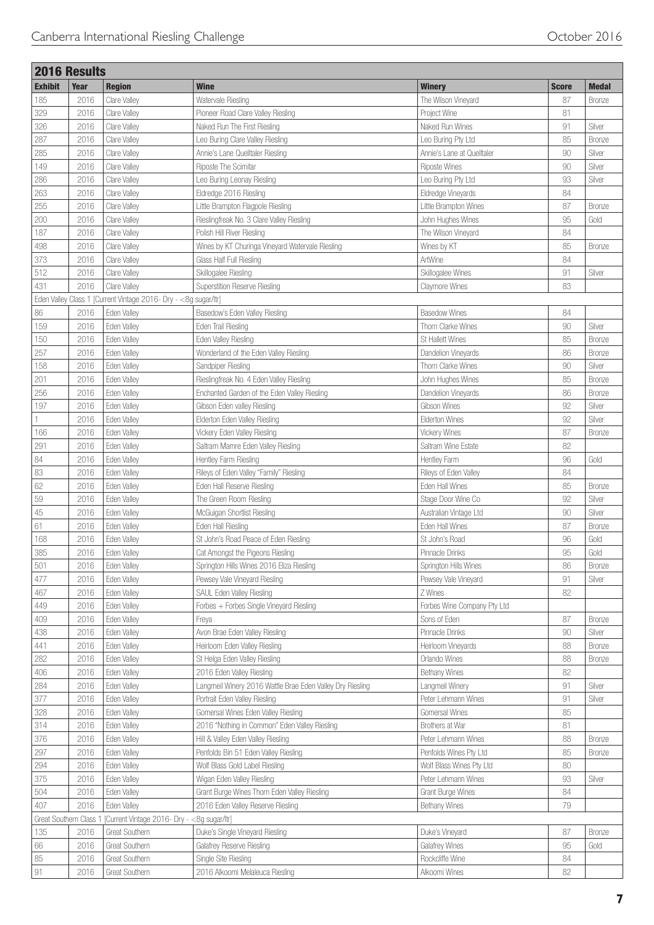|                      | <b>2016 Results</b> |                                                                 |                                                           |                             |              |               |
|----------------------|---------------------|-----------------------------------------------------------------|-----------------------------------------------------------|-----------------------------|--------------|---------------|
| <b>Exhibit</b>       | Year                | <b>Region</b>                                                   | <b>Wine</b>                                               | <b>Winery</b>               | <b>Score</b> | <b>Medal</b>  |
| 185                  | 2016                | Clare Valley                                                    | Watervale Riesling                                        | The Wilson Vineyard         | 87           | <b>Bronze</b> |
| 329                  | 2016                | Clare Valley                                                    | Pioneer Road Clare Valley Riesling                        | Project Wine                | 81           |               |
| 326                  | 2016                | Clare Valley                                                    | Naked Run The First Riesling                              | Naked Run Wines             | 91           | Silver        |
| 287                  | 2016                | Clare Valley                                                    | Leo Buring Clare Valley Riesling                          | Leo Buring Pty Ltd          | 85           | <b>Bronze</b> |
| 285                  | 2016                | Clare Valley                                                    | Annie's Lane Quelltaler Riesling                          | Annie's Lane at Quelltaler  | 90           | Silver        |
| 149                  | 2016                | Clare Valley                                                    | Riposte The Scimitar                                      | <b>Riposte Wines</b>        | 90           | Silver        |
| 286                  | 2016                | Clare Valley                                                    | Leo Buring Leonay Riesling                                | Leo Buring Pty Ltd          | 93           | Silver        |
| 263                  | 2016                | Clare Valley                                                    | Eldredge 2016 Riesling                                    | Eldredge Vineyards          | 84           |               |
| 255                  | 2016                | <b>Clare Valley</b>                                             | Little Brampton Flagpole Riesling                         | Little Brampton Wines       | 87           | <b>Bronze</b> |
| 200                  | 2016                | Clare Valley                                                    | Rieslingfreak No. 3 Clare Valley Riesling                 | John Hughes Wines           | 95           | Gold          |
| 187                  | 2016                | Clare Valley                                                    | Polish Hill River Riesling                                | The Wilson Vineyard         | 84           |               |
| 498                  | 2016                | Clare Valley                                                    | Wines by KT Churinga Vineyard Watervale Riesling          | Wines by KT                 | 85           | Bronze        |
| 373                  | 2016                | Clare Valley                                                    | Glass Half Full Riesling                                  | ArtWine                     | 84           |               |
| 512                  | 2016                | Clare Valley                                                    | Skillogalee Riesling                                      | Skillogalee Wines           | 91           | Silver        |
| 431                  | 2016                | Clare Valley                                                    | <b>Superstition Reserve Riesling</b>                      | Claymore Wines              | 83           |               |
|                      |                     |                                                                 |                                                           |                             |              |               |
|                      |                     | Eden Valley Class 1 [Current Vintage 2016- Dry - <8g sugar/ltr] |                                                           |                             |              |               |
| 86                   | 2016                | Eden Valley                                                     | Basedow's Eden Valley Riesling                            | <b>Basedow Wines</b>        | 84           |               |
| 159                  | 2016                | Eden Valley                                                     | Eden Trail Riesling                                       | Thorn Clarke Wines          | 90           | Silver        |
| 150                  | 2016                | Eden Valley                                                     | Eden Valley Riesling                                      | St Hallett Wines            | 85           | <b>Bronze</b> |
| 257                  | 2016                | Eden Valley                                                     | Wonderland of the Eden Valley Riesling                    | Dandelion Vineyards         | 86           | Bronze        |
| 158                  | 2016                | Eden Valley                                                     | Sandpiper Riesling                                        | Thorn Clarke Wines          | 90           | Silver        |
| 201                  | 2016                | Eden Valley                                                     | Rieslingfreak No. 4 Eden Valley Riesling                  | John Hughes Wines           | 85           | <b>Bronze</b> |
| 256                  | 2016                | Eden Valley                                                     | Enchanted Garden of the Eden Valley Riesling              | Dandelion Vineyards         | 86           | <b>Bronze</b> |
| 197                  | 2016                | Eden Valley                                                     | Gibson Eden valley Riesling                               | Gibson Wines                | 92           | Silver        |
|                      | 2016                | Eden Valley                                                     | Elderton Eden Valley Riesling                             | Elderton Wines              | 92           | Silver        |
| 166                  | 2016                | Eden Valley                                                     | Vickery Eden Valley Riesling                              | Vickery Wines               | 87           | <b>Bronze</b> |
| 291                  | 2016                | Eden Valley                                                     | Saltram Mamre Eden Valley Riesling                        | Saltram Wine Estate         | 82           |               |
| 84                   | 2016                | Eden Valley                                                     | Hentley Farm Riesling                                     | Hentley Farm                | 96           | Gold          |
| 83                   | 2016                | Eden Valley                                                     | Rileys of Eden Valley "Family" Riesling                   | Rileys of Eden Valley       | 84           |               |
| 62                   | 2016                | Eden Valley                                                     | Eden Hall Reserve Riesling                                | Eden Hall Wines             | 85           | <b>Bronze</b> |
| 59                   | 2016                | Eden Valley                                                     | The Green Room Riesling                                   | Stage Door Wine Co          | 92           | Silver        |
| 45                   | 2016                | Eden Valley                                                     | McGuigan Shortlist Riesling                               | Australian Vintage Ltd      | 90           | Silver        |
| 61                   | 2016                | Eden Valley                                                     | Eden Hall Riesling                                        | Eden Hall Wines             | 87           | <b>Bronze</b> |
| 168                  | 2016                | Eden Valley                                                     | St John's Road Peace of Eden Riesling                     | St John's Road              | 96           | Gold          |
| 385                  | 2016                | Eden Valley                                                     | Cat Amongst the Pigeons Riesling                          | Pinnacle Drinks             | 95           | Gold          |
| 501                  | 2016                | Eden Valley                                                     | Springton Hills Wines 2016 Eliza Riesling                 | Springton Hills Wines       | 86           | Bronze        |
| 477                  | 2016                | Eden Valley                                                     | Pewsey Vale Vineyard Riesling                             | Pewsey Vale Vineyard        | 91           | Silver        |
| 467                  | 2016                | Eden Valley                                                     | <b>SAUL Eden Valley Riesling</b>                          | Z Wines                     | 82           |               |
| 449                  | 2016                | Eden Valley                                                     | Forbes + Forbes Single Vineyard Riesling                  | Forbes Wine Company Pty Ltd |              |               |
| 409                  | 2016                | Eden Valley                                                     | Freya                                                     | Sons of Eden                | 87           | Bronze        |
| 438                  | 2016                | Eden Valley                                                     | Avon Brae Eden Valley Riesling                            | Pinnacle Drinks             | 90           | Silver        |
| 441                  | 2016                | Eden Valley                                                     | Heirloom Eden Valley Riesling                             | Heirloom Vineyards          | 88           | <b>Bronze</b> |
| 282                  | 2016                | Eden Valley                                                     | St Helga Eden Valley Riesling                             | Orlando Wines               | 88           | <b>Bronze</b> |
| 406                  | 2016                | Eden Valley                                                     | 2016 Eden Valley Riesling                                 | Bethany Wines               | 82           |               |
| 284                  | 2016                | Eden Valley                                                     | Langmeil Winery 2016 Wattle Brae Eden Valley Dry Riesling | Langmeil Winery             | 91           | Silver        |
| 377                  | 2016                | Eden Valley                                                     | Portrait Eden Valley Riesling                             | Peter Lehmann Wines         | 91           | Silver        |
| 328                  | 2016                | Eden Valley                                                     | Gomersal Wines Eden Valley Riesling                       | Gomersal Wines              | 85           |               |
| 314                  | 2016                | Eden Valley                                                     | 2016 "Nothing in Common" Eden Valley Riesling             | Brothers at War             | 81           |               |
| 376                  | 2016                | Eden Valley                                                     | Hill & Valley Eden Valley Riesling                        | Peter Lehmann Wines         | 88           | <b>Bronze</b> |
| 297                  |                     |                                                                 |                                                           |                             | 85           |               |
|                      | 2016                | Eden Valley                                                     | Penfolds Bin 51 Eden Valley Riesling                      | Penfolds Wines Pty Ltd      |              | <b>Bronze</b> |
| 294                  | 2016                | Eden Valley                                                     | Wolf Blass Gold Label Riesling                            | Wolf Blass Wines Pty Ltd    | 80           |               |
| 375                  | 2016                | Eden Valley                                                     | Wigan Eden Valley Riesling                                | Peter Lehmann Wines         | 93           | Silver        |
| 504                  | 2016                | Eden Valley                                                     | Grant Burge Wines Thorn Eden Valley Riesling              | Grant Burge Wines           | 84           |               |
| 407                  | 2016                | Eden Valley                                                     | 2016 Eden Valley Reserve Riesling                         | <b>Bethany Wines</b>        | 79           |               |
| Great Southern Class |                     | [Current Vintage 2016- Dry - <8g sugar/ltr]                     |                                                           |                             |              |               |
| 135                  | 2016                | Great Southern                                                  | Duke's Single Vineyard Riesling                           | Duke's Vineyard             | 87           | Bronze        |
| 66                   | 2016                | <b>Great Southern</b>                                           | Galafrey Reserve Riesling                                 | Galafrey Wines              | 95           | Gold          |
| 85                   | 2016                | Great Southern                                                  | Single Site Riesling                                      | Rockcliffe Wine             | 84           |               |
| 91                   | 2016                | <b>Great Southern</b>                                           | 2016 Alkoomi Melaleuca Riesling                           | Alkoomi Wines               | 82           |               |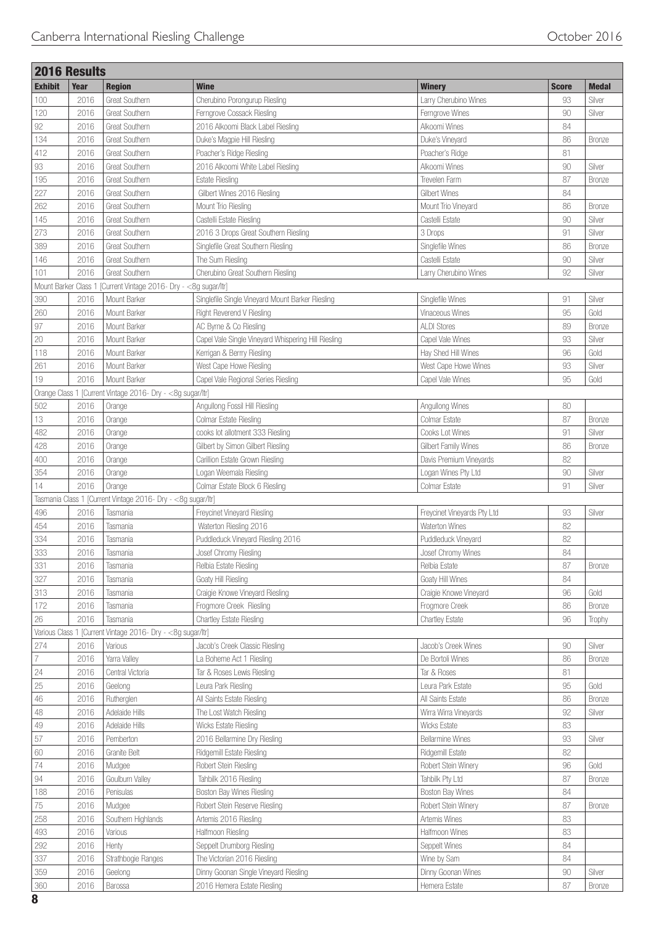|                | <b>2016 Results</b>  |                                                              |                                                     |                             |              |               |
|----------------|----------------------|--------------------------------------------------------------|-----------------------------------------------------|-----------------------------|--------------|---------------|
| <b>Exhibit</b> | Year                 | <b>Region</b>                                                | <b>Wine</b>                                         | <b>Winery</b>               | <b>Score</b> | <b>Medal</b>  |
| 100            | 2016                 | Great Southern                                               | Cherubino Porongurup Riesling                       | Larry Cherubino Wines       | 93           | Silver        |
| 120            | 2016                 | Great Southern                                               | Ferngrove Cossack Riesling                          | Ferngrove Wines             | 90           | Silver        |
| 92             | 2016                 | Great Southern                                               | 2016 Alkoomi Black Label Riesling                   | Alkoomi Wines               | 84           |               |
| 134            | 2016                 | Great Southern                                               | Duke's Magpie Hill Riesling                         | Duke's Vineyard             | 86           | <b>Bronze</b> |
| 412            | 2016                 | Great Southern                                               | Poacher's Ridge Riesling                            | Poacher's Ridge             | 81           |               |
| 93             | 2016                 | Great Southern                                               | 2016 Alkoomi White Label Riesling                   | Alkoomi Wines               | 90           | Silver        |
| 195            | 2016                 | Great Southern                                               | <b>Estate Riesling</b>                              | Trevelen Farm               | 87           | <b>Bronze</b> |
| 227            | 2016                 | Great Southern                                               | Gilbert Wines 2016 Riesling                         | Gilbert Wines               | 84           |               |
| 262            | 2016                 | <b>Great Southern</b>                                        | Mount Trio Riesling                                 | Mount Trio Vineyard         | 86           | <b>Bronze</b> |
| 145            | 2016                 | <b>Great Southern</b>                                        | Castelli Estate Riesling                            | Castelli Estate             | 90           | Silver        |
| 273            | 2016                 | <b>Great Southern</b>                                        | 2016 3 Drops Great Southern Riesling                | 3 Drops                     | 91           | Silver        |
| 389            | 2016                 | Great Southern                                               | Singlefile Great Southern Riesling                  | Singlefile Wines            | 86           | Bronze        |
| 146            | 2016                 | Great Southern                                               | The Sum Riesling                                    | Castelli Estate             | 90           | Silver        |
| 101            | 2016                 | Great Southern                                               | Cherubino Great Southern Riesling                   | Larry Cherubino Wines       | 92           | Silver        |
|                | Mount Barker Class 1 | [Current Vintage 2016- Dry - <8g sugar/ltr]                  |                                                     |                             |              |               |
| 390            | 2016                 | Mount Barker                                                 | Singlefile Single Vineyard Mount Barker Riesling    | Singlefile Wines            | 91           | Silver        |
|                |                      |                                                              |                                                     |                             |              |               |
| 260            | 2016                 | Mount Barker                                                 | <b>Right Reverend V Riesling</b>                    | Vinaceous Wines             | 95           | Gold          |
| 97             | 2016                 | Mount Barker                                                 | AC Byrne & Co Riesling                              | <b>ALDI Stores</b>          | 89           | Bronze        |
| $20\,$         | 2016                 | Mount Barker                                                 | Capel Vale Single Vineyard Whispering Hill Riesling | Capel Vale Wines            | 93           | Silver        |
| 118            | 2016                 | Mount Barker                                                 | Kerrigan & Berrry Riesling                          | Hay Shed Hill Wines         | 96           | Gold          |
| 261            | 2016                 | Mount Barker                                                 | West Cape Howe Riesling                             | West Cape Howe Wines        | 93           | Silver        |
| 19             | 2016                 | Mount Barker                                                 | Capel Vale Regional Series Riesling                 | Capel Vale Wines            | 95           | Gold          |
|                |                      | Orange Class 1 [Current Vintage 2016- Dry - <8g sugar/ltr]   |                                                     |                             |              |               |
| 502            | 2016                 | Orange                                                       | Angullong Fossil Hill Riesling                      | Angullong Wines             | 80           |               |
| 13             | 2016                 | Orange                                                       | Colmar Estate Riesling                              | Colmar Estate               | 87           | Bronze        |
| 482            | 2016                 | Orange                                                       | cooks lot allotment 333 Riesling                    | Cooks Lot Wines             | 91           | Silver        |
| 428            | 2016                 | Orange                                                       | Gilbert by Simon Gilbert Riesling                   | Gilbert Family Wines        | 86           | <b>Bronze</b> |
| 400            | 2016                 | Orange                                                       | Carillion Estate Grown Riesling                     | Davis Premium Vineyards     | 82           |               |
| 354            | 2016                 | Orange                                                       | Logan Weemala Riesling                              | Logan Wines Pty Ltd         | 90           | Silver        |
| 14             | 2016                 | Orange                                                       | Colmar Estate Block 6 Riesling                      | Colmar Estate               | 91           | Silver        |
|                |                      | Tasmania Class 1 [Current Vintage 2016- Dry - <8g sugar/ltr] |                                                     |                             |              |               |
| 496            | 2016                 | Tasmania                                                     | Freycinet Vineyard Riesling                         | Freycinet Vineyards Pty Ltd | 93           | Silver        |
| 454            | 2016                 | Tasmania                                                     | Waterton Riesling 2016                              | Waterton Wines              | 82           |               |
| 334            | 2016                 | Tasmania                                                     | Puddleduck Vineyard Riesling 2016                   | Puddleduck Vineyard         | 82           |               |
| 333            | 2016                 | Tasmania                                                     | Josef Chromy Riesling                               | Josef Chromy Wines          | 84           |               |
| 331            | 2016                 | Tasmania                                                     | Relbia Estate Riesling                              | Relbia Estate               | 87           | <b>Bronze</b> |
| 327            | 2016                 | Tasmania                                                     | Goaty Hill Riesling                                 | Goaty Hill Wines            | 84           |               |
| 313            | 2016                 | Tasmania                                                     | Craigie Knowe Vineyard Riesling                     | Craigie Knowe Vineyard      | 96           | Gold          |
| 172            | 2016                 | Tasmania                                                     | Frogmore Creek Riesling                             | Frogmore Creek              | 86           | Bronze        |
| 26             | 2016                 | Tasmania                                                     | Chartley Estate Riesling                            | <b>Chartley Estate</b>      | 96           |               |
|                |                      |                                                              |                                                     |                             |              | Trophy        |
|                |                      | Various Class 1 [Current Vintage 2016- Dry - <8g sugar/ltr]  |                                                     |                             |              |               |
| 274            | 2016                 | Various                                                      | Jacob's Creek Classic Riesling                      | Jacob's Creek Wines         | 90           | Silver        |
| $\overline{7}$ | 2016                 | Yarra Valley                                                 | La Boheme Act 1 Riesling                            | De Bortoli Wines            | 86           | Bronze        |
| 24             | 2016                 | Central Victoria                                             | Tar & Roses Lewis Riesling                          | Tar & Roses                 | 81           |               |
| 25             | 2016                 | Geelong                                                      | Leura Park Riesling                                 | Leura Park Estate           | 95           | Gold          |
| 46             | 2016                 | Rutherglen                                                   | All Saints Estate Riesling                          | All Saints Estate           | 86           | Bronze        |
| $48\,$         | 2016                 | Adelaide Hills                                               | The Lost Watch Riesling                             | Wirra Wirra Vineyards       | 92           | Silver        |
| $49\,$         | 2016                 | Adelaide Hills                                               | Wicks Estate Riesling                               | Wicks Estate                | 83           |               |
| 57             | 2016                 | Pemberton                                                    | 2016 Bellarmine Dry Riesling                        | <b>Bellarmine Wines</b>     | 93           | Silver        |
| 60             | 2016                 | Granite Belt                                                 | Ridgemill Estate Riesling                           | Ridgemill Estate            | 82           |               |
| 74             | 2016                 | Mudgee                                                       | Robert Stein Riesling                               | Robert Stein Winery         | 96           | Gold          |
| 94             | 2016                 | Goulburn Valley                                              | Tahbilk 2016 Riesling                               | Tahbilk Pty Ltd             | 87           | Bronze        |
| 188            | 2016                 | Penisulas                                                    | Boston Bay Wines Riesling                           | Boston Bay Wines            | 84           |               |
| $75\,$         | 2016                 | Mudgee                                                       | Robert Stein Reserve Riesling                       | Robert Stein Winery         | 87           | Bronze        |
| 258            | 2016                 | Southern Highlands                                           | Artemis 2016 Riesling                               | Artemis Wines               | 83           |               |
| 493            | 2016                 | Various                                                      | Halfmoon Riesling                                   | Halfmoon Wines              | 83           |               |
| 292            | 2016                 | Henty                                                        | Seppelt Drumborg Riesling                           | Seppelt Wines               | 84           |               |
| 337            | 2016                 | Strathbogie Ranges                                           | The Victorian 2016 Riesling                         | Wine by Sam                 | 84           |               |
| 359            | 2016                 | Geelong                                                      | Dinny Goonan Single Vineyard Riesling               | Dinny Goonan Wines          | 90           | Silver        |
|                | 2016                 | Barossa                                                      | 2016 Hemera Estate Riesling                         | Hemera Estate               | 87           | Bronze        |
| 360            |                      |                                                              |                                                     |                             |              |               |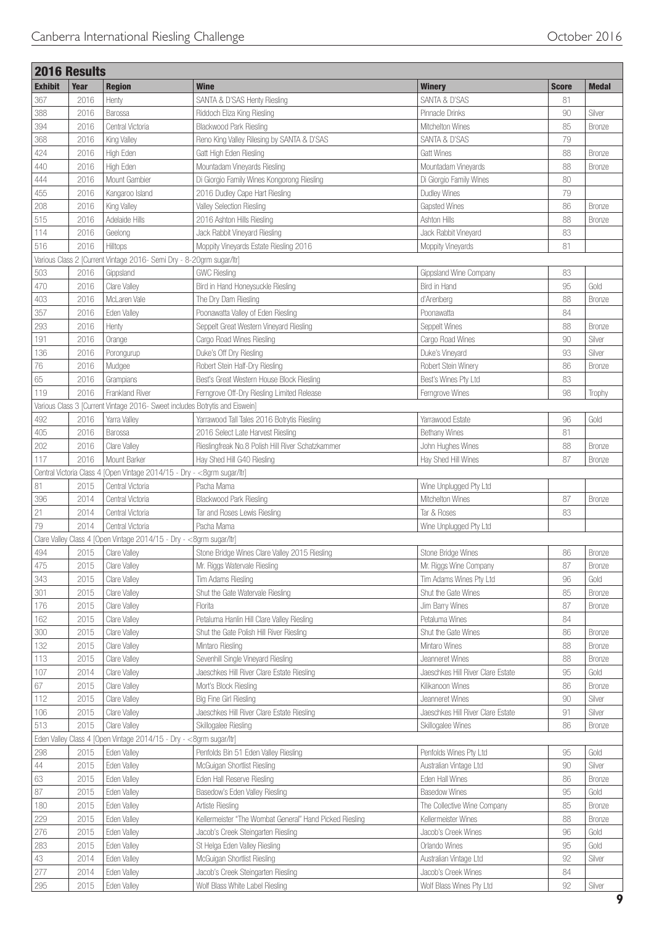|                | <b>2016 Results</b> |                                                                             |                                                         |                                   |              |               |
|----------------|---------------------|-----------------------------------------------------------------------------|---------------------------------------------------------|-----------------------------------|--------------|---------------|
| <b>Exhibit</b> | Year                | <b>Region</b>                                                               | <b>Wine</b>                                             | <b>Winery</b>                     | <b>Score</b> | <b>Medal</b>  |
| 367            | 2016                | Henty                                                                       | SANTA & D'SAS Henty Riesling                            | SANTA & D'SAS                     | 81           |               |
| 388            | 2016                | Barossa                                                                     | Riddoch Eliza King Riesling                             | Pinnacle Drinks                   | 90           | Silver        |
| 394            | 2016                | Central Victoria                                                            | Blackwood Park Riesling                                 | Mitchelton Wines                  | 85           | <b>Bronze</b> |
| 368            | 2016                | King Valley                                                                 | Reno King Valley Rilesing by SANTA & D'SAS              | SANTA & D'SAS                     | 79           |               |
| 424            | 2016                | High Eden                                                                   | Gatt High Eden Riesling                                 | <b>Gatt Wines</b>                 | 88           | Bronze        |
| 440            | 2016                | High Eden                                                                   | Mountadam Vineyards Riesling                            | Mountadam Vineyards               | 88           | <b>Bronze</b> |
| 444            | 2016                | Mount Gambier                                                               | Di Giorgio Family Wines Kongorong Riesling              | Di Giorgio Family Wines           | 80           |               |
| 455            | 2016                | Kangaroo Island                                                             | 2016 Dudley Cape Hart Riesling                          | Dudley Wines                      | 79           |               |
| 208            | 2016                | King Valley                                                                 | Valley Selection Riesling                               | <b>Gapsted Wines</b>              | 86           | <b>Bronze</b> |
| 515            | 2016                | Adelaide Hills                                                              | 2016 Ashton Hills Riesling                              | Ashton Hills                      | 88           | <b>Bronze</b> |
| 114            | 2016                | Geelong                                                                     | Jack Rabbit Vineyard Riesling                           | Jack Rabbit Vineyard              | 83           |               |
| 516            | 2016                | Hilltops                                                                    | Moppity Vineyards Estate Riesling 2016                  | Moppity Vineyards                 | 81           |               |
|                |                     | Various Class 2 [Current Vintage 2016- Semi Dry - 8-20grm sugar/ltr]        |                                                         |                                   |              |               |
|                |                     |                                                                             | <b>GWC Riesling</b>                                     |                                   | 83           |               |
| 503            | 2016                | Gippsland                                                                   |                                                         | Gippsland Wine Company            |              |               |
| 470            | 2016                | Clare Valley                                                                | Bird in Hand Honeysuckle Riesling                       | Bird in Hand                      | 95           | Gold          |
| 403            | 2016                | McLaren Vale                                                                | The Dry Dam Riesling                                    | d'Arenberg                        | 88           | <b>Bronze</b> |
| 357            | 2016                | Eden Valley                                                                 | Poonawatta Valley of Eden Riesling                      | Poonawatta                        | 84           |               |
| 293            | 2016                | Henty                                                                       | Seppelt Great Western Vineyard Riesling                 | Seppelt Wines                     | 88           | <b>Bronze</b> |
| 191            | 2016                | Orange                                                                      | Cargo Road Wines Riesling                               | Cargo Road Wines                  | 90           | Silver        |
| 136            | 2016                | Porongurup                                                                  | Duke's Off Dry Riesling                                 | Duke's Vineyard                   | 93           | Silver        |
| 76             | 2016                | Mudgee                                                                      | Robert Stein Half-Dry Riesling                          | Robert Stein Winery               | 86           | <b>Bronze</b> |
| 65             | 2016                | Grampians                                                                   | Best's Great Western House Block Riesling               | Best's Wines Pty Ltd              | 83           |               |
| 119            | 2016                | Frankland River                                                             | Ferngrove Off-Dry Riesling Limited Release              | Ferngrove Wines                   | 98           | Trophy        |
|                |                     | Various Class 3 [Current Vintage 2016- Sweet includes Botrytis and Eiswein] |                                                         |                                   |              |               |
| 492            | 2016                | Yarra Valley                                                                | Yarrawood Tall Tales 2016 Botrytis Riesling             | Yarrawood Estate                  | 96           | Gold          |
| 405            | 2016                | Barossa                                                                     | 2016 Select Late Harvest Riesling                       | <b>Bethany Wines</b>              | 81           |               |
| 202            | 2016                | Clare Valley                                                                | Rieslingfreak No.8 Polish Hill River Schatzkammer       | John Hughes Wines                 | 88           | <b>Bronze</b> |
| 117            | 2016                | Mount Barker                                                                | Hay Shed Hill G40 Riesling                              | Hay Shed Hill Wines               | 87           | <b>Bronze</b> |
|                |                     | Central Victoria Class 4 [Open Vintage 2014/15 - Dry - <8grm sugar/ltr]     |                                                         |                                   |              |               |
| 81             | 2015                | Central Victoria                                                            | Pacha Mama                                              | Wine Unplugged Pty Ltd            |              |               |
| 396            | 2014                | Central Victoria                                                            | Blackwood Park Riesling                                 | Mitchelton Wines                  | 87           | <b>Bronze</b> |
| 21             | 2014                | Central Victoria                                                            | Tar and Roses Lewis Riesling                            | Tar & Roses                       | 83           |               |
| 79             | 2014                | Central Victoria                                                            | Pacha Mama                                              | Wine Unplugged Pty Ltd            |              |               |
|                |                     | Clare Valley Class 4 [Open Vintage 2014/15 - Dry - <8grm sugar/ltr]         |                                                         |                                   |              |               |
| 494            | 2015                | Clare Valley                                                                | Stone Bridge Wines Clare Valley 2015 Riesling           | Stone Bridge Wines                | 86           | <b>Bronze</b> |
| 475            | 2015                | Clare Valley                                                                | Mr. Riggs Watervale Riesling                            | Mr. Riggs Wine Company            | 87           | <b>Bronze</b> |
| 343            | 2015                | Clare Valley                                                                | Tim Adams Riesling                                      | Tim Adams Wines Pty Ltd           | 96           | Gold          |
| 301            | 2015                | Clare Valley                                                                | Shut the Gate Watervale Riesling                        | Shut the Gate Wines               | 85           | <b>Bronze</b> |
|                |                     |                                                                             |                                                         |                                   |              |               |
| 176            | 2015                | Clare Valley                                                                | Florita                                                 | Jim Barry Wines                   | 87           | Bronze        |
| 162            | 2015                | Clare Valley                                                                | Petaluma Hanlin Hill Clare Valley Riesling              | Petaluma Wines                    | 84           |               |
| 300            | 2015                | Clare Valley                                                                | Shut the Gate Polish Hill River Riesling                | Shut the Gate Wines               | 86           | <b>Bronze</b> |
| 132            | 2015                | Clare Valley                                                                | Mintaro Riesling                                        | Mintaro Wines                     | 88           | Bronze        |
| 113            | 2015                | Clare Valley                                                                | Sevenhill Single Vineyard Riesling                      | Jeanneret Wines                   | 88           | Bronze        |
| 107            | 2014                | Clare Valley                                                                | Jaeschkes Hill River Clare Estate Riesling              | Jaeschkes Hill River Clare Estate | 95           | Gold          |
| 67             | 2015                | Clare Valley                                                                | Mort's Block Riesling                                   | Kilikanoon Wines                  | 86           | <b>Bronze</b> |
| 112            | 2015                | Clare Valley                                                                | <b>Big Fine Girl Riesling</b>                           | Jeanneret Wines                   | 90           | Silver        |
| 106            | 2015                | Clare Valley                                                                | Jaeschkes Hill River Clare Estate Riesling              | Jaeschkes Hill River Clare Estate | 91           | Silver        |
| 513            | 2015                | Clare Valley                                                                | Skillogalee Riesling                                    | Skillogalee Wines                 | 86           | <b>Bronze</b> |
|                |                     | Eden Valley Class 4 [Open Vintage 2014/15 - Dry - <8grm sugar/ltr]          |                                                         |                                   |              |               |
| 298            | 2015                | Eden Valley                                                                 | Penfolds Bin 51 Eden Valley Riesling                    | Penfolds Wines Pty Ltd            | 95           | Gold          |
| $44\,$         | 2015                | Eden Valley                                                                 | McGuigan Shortlist Riesling                             | Australian Vintage Ltd            | 90           | Silver        |
| 63             | 2015                | Eden Valley                                                                 | Eden Hall Reserve Riesling                              | Eden Hall Wines                   | 86           | Bronze        |
| 87             | 2015                | Eden Valley                                                                 | Basedow's Eden Valley Riesling                          | <b>Basedow Wines</b>              | 95           | Gold          |
| 180            | 2015                | Eden Valley                                                                 | Artiste Riesling                                        | The Collective Wine Company       | 85           | Bronze        |
| 229            | 2015                | Eden Valley                                                                 | Kellermeister "The Wombat General" Hand Picked Riesling | Kellermeister Wines               | 88           | <b>Bronze</b> |
| 276            | 2015                | Eden Valley                                                                 | Jacob's Creek Steingarten Riesling                      | Jacob's Creek Wines               | 96           | Gold          |
| 283            | 2015                | Eden Valley                                                                 | St Helga Eden Valley Riesling                           | Orlando Wines                     | 95           | Gold          |
| 43             | 2014                | Eden Valley                                                                 | McGuigan Shortlist Riesling                             | Australian Vintage Ltd            | 92           | Silver        |
| 277            | 2014                | Eden Valley                                                                 | Jacob's Creek Steingarten Riesling                      | Jacob's Creek Wines               | 84           |               |
| 295            | 2015                | Eden Valley                                                                 | Wolf Blass White Label Riesling                         | Wolf Blass Wines Pty Ltd          | 92           | Silver        |
|                |                     |                                                                             |                                                         |                                   |              |               |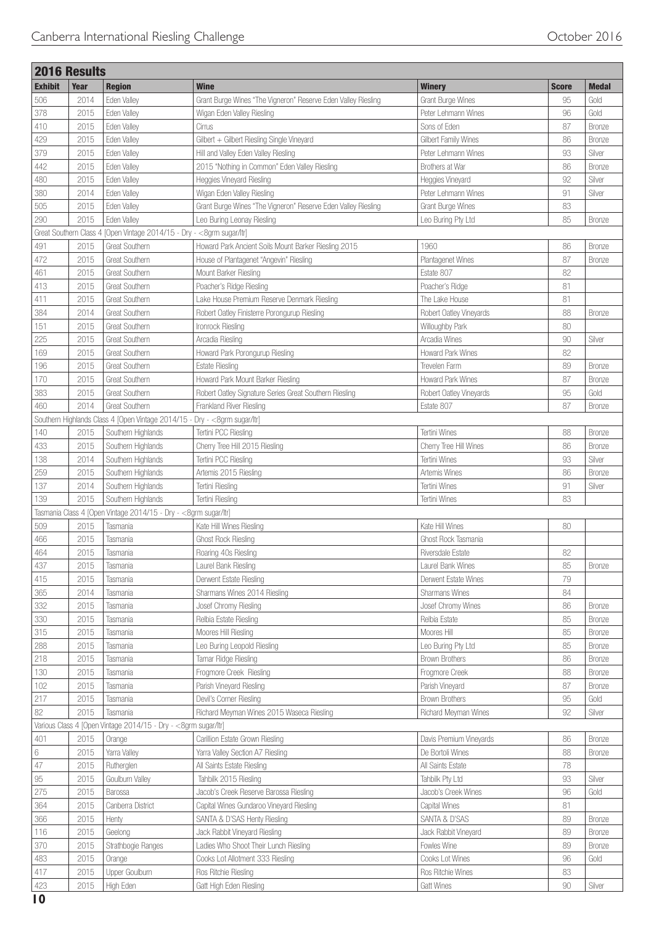| Year<br><b>Region</b><br><b>Wine</b><br><b>Winery</b><br><b>Score</b><br><b>Medal</b><br>2014<br>Eden Valley<br>Grant Burge Wines "The Vigneron" Reserve Eden Valley Riesling<br>Grant Burge Wines<br>95<br>Gold<br>Eden Valley<br>Peter Lehmann Wines<br>96<br>Gold<br>2015<br>Wigan Eden Valley Riesling<br>410<br>Eden Valley<br>2015<br>Cirrus<br>Sons of Eden<br>87<br><b>Bronze</b><br>429<br>2015<br>Eden Valley<br>Gilbert + Gilbert Riesling Single Vineyard<br>Gilbert Family Wines<br>86<br><b>Bronze</b><br>379<br>Eden Valley<br>Hill and Valley Eden Valley Riesling<br>Peter Lehmann Wines<br>93<br>2015<br>Silver<br>442<br>2015<br>Eden Valley<br>2015 "Nothing in Common" Eden Valley Riesling<br>86<br>Brothers at War<br><b>Bronze</b><br>92<br>480<br>2015<br>Heggies Vineyard Riesling<br>Silver<br>Eden Valley<br>Heggies Vineyard<br>380<br>2014<br>91<br>Silver<br>Eden Valley<br>Wigan Eden Valley Riesling<br>Peter Lehmann Wines<br>505<br>Grant Burge Wines "The Vigneron" Reserve Eden Valley Riesling<br>83<br>2015<br>Eden Valley<br><b>Grant Burge Wines</b><br>290<br>85<br>2015<br>Eden Valley<br>Leo Buring Leonay Riesling<br>Leo Buring Pty Ltd<br><b>Bronze</b><br>Great Southern Class 4 [Open Vintage 2014/15 - Dry - <8grm sugar/ltr]<br>491<br>Great Southern<br>Howard Park Ancient Soils Mount Barker Riesling 2015<br>1960<br>86<br>Bronze<br>2015<br>472<br>Plantagenet Wines<br>87<br>2015<br>Great Southern<br>House of Plantagenet "Angevin" Riesling<br>Bronze<br>461<br>Estate 807<br>82<br>2015<br>Great Southern<br>Mount Barker Riesling<br>413<br>Great Southern<br>Poacher's Ridge<br>81<br>2015<br>Poacher's Ridge Riesling<br>411<br>2015<br>Great Southern<br>Lake House Premium Reserve Denmark Riesling<br>81<br>The Lake House<br>384<br>2014<br>Great Southern<br>88<br>Robert Oatley Finisterre Porongurup Riesling<br>Robert Oatley Vineyards<br><b>Bronze</b><br>151<br>2015<br>Great Southern<br>Ironrock Riesling<br>Willoughby Park<br>80<br>225<br>90<br>2015<br>Great Southern<br>Arcadia Riesling<br>Arcadia Wines<br>Silver<br>82<br>169<br>2015<br><b>Great Southern</b><br>Howard Park Porongurup Riesling<br>Howard Park Wines<br>2015<br>Great Southern<br>89<br>196<br><b>Estate Riesling</b><br>Trevelen Farm<br><b>Bronze</b><br>Great Southern<br>Howard Park Mount Barker Riesling<br>Howard Park Wines<br>87<br>170<br>2015<br><b>Bronze</b><br>383<br>2015<br>Great Southern<br>95<br>Robert Oatley Signature Series Great Southern Riesling<br>Robert Oatley Vineyards<br>Gold<br>2014<br>Great Southern<br>460<br>Frankland River Riesling<br>Estate 807<br>87<br>Bronze<br>Southern Highlands Class 4 [Open Vintage 2014/15 - Dry - < 8grm sugar/ltr]<br>Southern Highlands<br>140<br>2015<br>Tertini PCC Riesling<br>Tertini Wines<br>88<br>Bronze<br>433<br>2015<br>Southern Highlands<br>Cherry Tree Hill 2015 Riesling<br>Cherry Tree Hill Wines<br>86<br><b>Bronze</b><br>138<br>Southern Highlands<br>Tertini Wines<br>93<br>Silver<br>2014<br>Tertini PCC Riesling<br>259<br>2015<br>Southern Highlands<br>Artemis 2015 Riesling<br>Artemis Wines<br>86<br><b>Bronze</b><br>137<br>2014<br>Tertini Riesling<br>91<br>Silver<br>Southern Highlands<br>Tertini Wines<br>2015<br>83<br>139<br>Southern Highlands<br>Tertini Riesling<br>Tertini Wines<br>Tasmania Class 4 [Open Vintage 2014/15 - Dry - <8grm sugar/ltr]<br>509<br>Kate Hill Wines<br>2015<br>Tasmania<br>Kate Hill Wines Riesling<br>80<br>466<br>2015<br><b>Ghost Rock Riesling</b><br>Ghost Rock Tasmania<br>Tasmania<br>464<br>2015<br>Roaring 40s Riesling<br>82<br>Tasmania<br><b>Riversdale Estate</b><br>85<br>437<br>2015<br>Laurel Bank Riesling<br>Laurel Bank Wines<br>Bronze<br>Tasmania<br>415<br>79<br>Derwent Estate Riesling<br>2015<br>Derwent Estate Wines<br>Tasmania<br>365<br>84<br>2014<br>Tasmania<br>Sharmans Wines 2014 Riesling<br>Sharmans Wines<br>332<br>2015<br>Josef Chromy Wines<br>86<br>Tasmania<br>Josef Chromy Riesling<br><b>Bronze</b><br>330<br>2015<br>85<br>Relbia Estate Riesling<br>Relbia Estate<br>Bronze<br>Tasmania<br>315<br>2015<br>Moores Hill Riesling<br>85<br>Moores Hill<br>Tasmania<br><b>Bronze</b><br>288<br>2015<br>Leo Buring Leopold Riesling<br>85<br>Leo Buring Pty Ltd<br>Bronze<br>Tasmania<br>2015<br>Tamar Ridge Riesling<br>86<br><b>Brown Brothers</b><br>Bronze<br>Tasmania<br>130<br>2015<br>Frogmore Creek Riesling<br>88<br>Frogmore Creek<br>Bronze<br>Tasmania<br>102<br>2015<br>Parish Vineyard Riesling<br>Parish Vineyard<br>87<br>Tasmania<br>Bronze<br>2015<br>95<br>Devil's Corner Riesling<br><b>Brown Brothers</b><br>Gold<br>Tasmania<br>2015<br>92<br>Tasmania<br>Richard Meyman Wines 2015 Waseca Riesling<br>Richard Meyman Wines<br>Silver<br>Various Class 4 [Open Vintage 2014/15 - Dry - <8grm sugar/ltr]<br>Carillion Estate Grown Riesling<br>401<br>2015<br>Orange<br>Davis Premium Vineyards<br>86<br><b>Bronze</b><br>2015<br>Yarra Valley<br>Yarra Valley Section A7 Riesling<br>88<br>De Bortoli Wines<br><b>Bronze</b><br>Rutherglen<br>All Saints Estate Riesling<br>78<br>2015<br>All Saints Estate<br>Goulburn Valley<br>Tahbilk 2015 Riesling<br>93<br>2015<br>Tahbilk Pty Ltd<br>Silver<br>Jacob's Creek Reserve Barossa Riesling<br>96<br>2015<br>Jacob's Creek Wines<br>Gold<br>Barossa<br>364<br>2015<br>Canberra District<br>Capital Wines Gundaroo Vineyard Riesling<br>81<br>Capital Wines<br>366<br>SANTA & D'SAS Henty Riesling<br>SANTA & D'SAS<br>89<br>2015<br>Henty<br>Bronze<br>116<br>Jack Rabbit Vineyard Riesling<br>89<br>2015<br>Geelong<br>Jack Rabbit Vineyard<br>Bronze<br>370<br>Ladies Who Shoot Their Lunch Riesling<br>2015<br>Strathbogie Ranges<br>Fowles Wine<br>89<br>Bronze<br>483<br>96<br>2015<br>Cooks Lot Allotment 333 Riesling<br>Cooks Lot Wines<br>Gold<br>Orange<br>417<br>Upper Goulburn<br>83<br>2015<br>Ros Ritchie Riesling<br>Ros Ritchie Wines<br>90<br>Silver<br>423<br>2015<br>High Eden<br>Gatt High Eden Riesling<br><b>Gatt Wines</b> |                | <b>2016 Results</b> |  |  |  |
|-------------------------------------------------------------------------------------------------------------------------------------------------------------------------------------------------------------------------------------------------------------------------------------------------------------------------------------------------------------------------------------------------------------------------------------------------------------------------------------------------------------------------------------------------------------------------------------------------------------------------------------------------------------------------------------------------------------------------------------------------------------------------------------------------------------------------------------------------------------------------------------------------------------------------------------------------------------------------------------------------------------------------------------------------------------------------------------------------------------------------------------------------------------------------------------------------------------------------------------------------------------------------------------------------------------------------------------------------------------------------------------------------------------------------------------------------------------------------------------------------------------------------------------------------------------------------------------------------------------------------------------------------------------------------------------------------------------------------------------------------------------------------------------------------------------------------------------------------------------------------------------------------------------------------------------------------------------------------------------------------------------------------------------------------------------------------------------------------------------------------------------------------------------------------------------------------------------------------------------------------------------------------------------------------------------------------------------------------------------------------------------------------------------------------------------------------------------------------------------------------------------------------------------------------------------------------------------------------------------------------------------------------------------------------------------------------------------------------------------------------------------------------------------------------------------------------------------------------------------------------------------------------------------------------------------------------------------------------------------------------------------------------------------------------------------------------------------------------------------------------------------------------------------------------------------------------------------------------------------------------------------------------------------------------------------------------------------------------------------------------------------------------------------------------------------------------------------------------------------------------------------------------------------------------------------------------------------------------------------------------------------------------------------------------------------------------------------------------------------------------------------------------------------------------------------------------------------------------------------------------------------------------------------------------------------------------------------------------------------------------------------------------------------------------------------------------------------------------------------------------------------------------------------------------------------------------------------------------------------------------------------------------------------------------------------------------------------------------------------------------------------------------------------------------------------------------------------------------------------------------------------------------------------------------------------------------------------------------------------------------------------------------------------------------------------------------------------------------------------------------------------------------------------------------------------------------------------------------------------------------------------------------------------------------------------------------------------------------------------------------------------------------------------------------------------------------------------------------------------------------------------------------------------------------------------------------------------------------------------------------------------------------------------------------------------------------------------------------------------------------------------------------------------------------------------------------------------------------------------------------------------------------------------------------------------------------------------------------------------------------------------------------------------------------------------------------------------------------------------------------------------------------------------------------------------------------------------------------------------------------------------------------------------------------------------------------------------------------------------------------------------------------------------------------------------|----------------|---------------------|--|--|--|
|                                                                                                                                                                                                                                                                                                                                                                                                                                                                                                                                                                                                                                                                                                                                                                                                                                                                                                                                                                                                                                                                                                                                                                                                                                                                                                                                                                                                                                                                                                                                                                                                                                                                                                                                                                                                                                                                                                                                                                                                                                                                                                                                                                                                                                                                                                                                                                                                                                                                                                                                                                                                                                                                                                                                                                                                                                                                                                                                                                                                                                                                                                                                                                                                                                                                                                                                                                                                                                                                                                                                                                                                                                                                                                                                                                                                                                                                                                                                                                                                                                                                                                                                                                                                                                                                                                                                                                                                                                                                                                                                                                                                                                                                                                                                                                                                                                                                                                                                                                                                                                                                                                                                                                                                                                                                                                                                                                                                                                                                                                                                                                                                                                                                                                                                                                                                                                                                                                                                                                                                                                                             | <b>Exhibit</b> |                     |  |  |  |
|                                                                                                                                                                                                                                                                                                                                                                                                                                                                                                                                                                                                                                                                                                                                                                                                                                                                                                                                                                                                                                                                                                                                                                                                                                                                                                                                                                                                                                                                                                                                                                                                                                                                                                                                                                                                                                                                                                                                                                                                                                                                                                                                                                                                                                                                                                                                                                                                                                                                                                                                                                                                                                                                                                                                                                                                                                                                                                                                                                                                                                                                                                                                                                                                                                                                                                                                                                                                                                                                                                                                                                                                                                                                                                                                                                                                                                                                                                                                                                                                                                                                                                                                                                                                                                                                                                                                                                                                                                                                                                                                                                                                                                                                                                                                                                                                                                                                                                                                                                                                                                                                                                                                                                                                                                                                                                                                                                                                                                                                                                                                                                                                                                                                                                                                                                                                                                                                                                                                                                                                                                                             | 506            |                     |  |  |  |
|                                                                                                                                                                                                                                                                                                                                                                                                                                                                                                                                                                                                                                                                                                                                                                                                                                                                                                                                                                                                                                                                                                                                                                                                                                                                                                                                                                                                                                                                                                                                                                                                                                                                                                                                                                                                                                                                                                                                                                                                                                                                                                                                                                                                                                                                                                                                                                                                                                                                                                                                                                                                                                                                                                                                                                                                                                                                                                                                                                                                                                                                                                                                                                                                                                                                                                                                                                                                                                                                                                                                                                                                                                                                                                                                                                                                                                                                                                                                                                                                                                                                                                                                                                                                                                                                                                                                                                                                                                                                                                                                                                                                                                                                                                                                                                                                                                                                                                                                                                                                                                                                                                                                                                                                                                                                                                                                                                                                                                                                                                                                                                                                                                                                                                                                                                                                                                                                                                                                                                                                                                                             | 378            |                     |  |  |  |
|                                                                                                                                                                                                                                                                                                                                                                                                                                                                                                                                                                                                                                                                                                                                                                                                                                                                                                                                                                                                                                                                                                                                                                                                                                                                                                                                                                                                                                                                                                                                                                                                                                                                                                                                                                                                                                                                                                                                                                                                                                                                                                                                                                                                                                                                                                                                                                                                                                                                                                                                                                                                                                                                                                                                                                                                                                                                                                                                                                                                                                                                                                                                                                                                                                                                                                                                                                                                                                                                                                                                                                                                                                                                                                                                                                                                                                                                                                                                                                                                                                                                                                                                                                                                                                                                                                                                                                                                                                                                                                                                                                                                                                                                                                                                                                                                                                                                                                                                                                                                                                                                                                                                                                                                                                                                                                                                                                                                                                                                                                                                                                                                                                                                                                                                                                                                                                                                                                                                                                                                                                                             |                |                     |  |  |  |
|                                                                                                                                                                                                                                                                                                                                                                                                                                                                                                                                                                                                                                                                                                                                                                                                                                                                                                                                                                                                                                                                                                                                                                                                                                                                                                                                                                                                                                                                                                                                                                                                                                                                                                                                                                                                                                                                                                                                                                                                                                                                                                                                                                                                                                                                                                                                                                                                                                                                                                                                                                                                                                                                                                                                                                                                                                                                                                                                                                                                                                                                                                                                                                                                                                                                                                                                                                                                                                                                                                                                                                                                                                                                                                                                                                                                                                                                                                                                                                                                                                                                                                                                                                                                                                                                                                                                                                                                                                                                                                                                                                                                                                                                                                                                                                                                                                                                                                                                                                                                                                                                                                                                                                                                                                                                                                                                                                                                                                                                                                                                                                                                                                                                                                                                                                                                                                                                                                                                                                                                                                                             |                |                     |  |  |  |
|                                                                                                                                                                                                                                                                                                                                                                                                                                                                                                                                                                                                                                                                                                                                                                                                                                                                                                                                                                                                                                                                                                                                                                                                                                                                                                                                                                                                                                                                                                                                                                                                                                                                                                                                                                                                                                                                                                                                                                                                                                                                                                                                                                                                                                                                                                                                                                                                                                                                                                                                                                                                                                                                                                                                                                                                                                                                                                                                                                                                                                                                                                                                                                                                                                                                                                                                                                                                                                                                                                                                                                                                                                                                                                                                                                                                                                                                                                                                                                                                                                                                                                                                                                                                                                                                                                                                                                                                                                                                                                                                                                                                                                                                                                                                                                                                                                                                                                                                                                                                                                                                                                                                                                                                                                                                                                                                                                                                                                                                                                                                                                                                                                                                                                                                                                                                                                                                                                                                                                                                                                                             |                |                     |  |  |  |
|                                                                                                                                                                                                                                                                                                                                                                                                                                                                                                                                                                                                                                                                                                                                                                                                                                                                                                                                                                                                                                                                                                                                                                                                                                                                                                                                                                                                                                                                                                                                                                                                                                                                                                                                                                                                                                                                                                                                                                                                                                                                                                                                                                                                                                                                                                                                                                                                                                                                                                                                                                                                                                                                                                                                                                                                                                                                                                                                                                                                                                                                                                                                                                                                                                                                                                                                                                                                                                                                                                                                                                                                                                                                                                                                                                                                                                                                                                                                                                                                                                                                                                                                                                                                                                                                                                                                                                                                                                                                                                                                                                                                                                                                                                                                                                                                                                                                                                                                                                                                                                                                                                                                                                                                                                                                                                                                                                                                                                                                                                                                                                                                                                                                                                                                                                                                                                                                                                                                                                                                                                                             |                |                     |  |  |  |
|                                                                                                                                                                                                                                                                                                                                                                                                                                                                                                                                                                                                                                                                                                                                                                                                                                                                                                                                                                                                                                                                                                                                                                                                                                                                                                                                                                                                                                                                                                                                                                                                                                                                                                                                                                                                                                                                                                                                                                                                                                                                                                                                                                                                                                                                                                                                                                                                                                                                                                                                                                                                                                                                                                                                                                                                                                                                                                                                                                                                                                                                                                                                                                                                                                                                                                                                                                                                                                                                                                                                                                                                                                                                                                                                                                                                                                                                                                                                                                                                                                                                                                                                                                                                                                                                                                                                                                                                                                                                                                                                                                                                                                                                                                                                                                                                                                                                                                                                                                                                                                                                                                                                                                                                                                                                                                                                                                                                                                                                                                                                                                                                                                                                                                                                                                                                                                                                                                                                                                                                                                                             |                |                     |  |  |  |
|                                                                                                                                                                                                                                                                                                                                                                                                                                                                                                                                                                                                                                                                                                                                                                                                                                                                                                                                                                                                                                                                                                                                                                                                                                                                                                                                                                                                                                                                                                                                                                                                                                                                                                                                                                                                                                                                                                                                                                                                                                                                                                                                                                                                                                                                                                                                                                                                                                                                                                                                                                                                                                                                                                                                                                                                                                                                                                                                                                                                                                                                                                                                                                                                                                                                                                                                                                                                                                                                                                                                                                                                                                                                                                                                                                                                                                                                                                                                                                                                                                                                                                                                                                                                                                                                                                                                                                                                                                                                                                                                                                                                                                                                                                                                                                                                                                                                                                                                                                                                                                                                                                                                                                                                                                                                                                                                                                                                                                                                                                                                                                                                                                                                                                                                                                                                                                                                                                                                                                                                                                                             |                |                     |  |  |  |
|                                                                                                                                                                                                                                                                                                                                                                                                                                                                                                                                                                                                                                                                                                                                                                                                                                                                                                                                                                                                                                                                                                                                                                                                                                                                                                                                                                                                                                                                                                                                                                                                                                                                                                                                                                                                                                                                                                                                                                                                                                                                                                                                                                                                                                                                                                                                                                                                                                                                                                                                                                                                                                                                                                                                                                                                                                                                                                                                                                                                                                                                                                                                                                                                                                                                                                                                                                                                                                                                                                                                                                                                                                                                                                                                                                                                                                                                                                                                                                                                                                                                                                                                                                                                                                                                                                                                                                                                                                                                                                                                                                                                                                                                                                                                                                                                                                                                                                                                                                                                                                                                                                                                                                                                                                                                                                                                                                                                                                                                                                                                                                                                                                                                                                                                                                                                                                                                                                                                                                                                                                                             |                |                     |  |  |  |
|                                                                                                                                                                                                                                                                                                                                                                                                                                                                                                                                                                                                                                                                                                                                                                                                                                                                                                                                                                                                                                                                                                                                                                                                                                                                                                                                                                                                                                                                                                                                                                                                                                                                                                                                                                                                                                                                                                                                                                                                                                                                                                                                                                                                                                                                                                                                                                                                                                                                                                                                                                                                                                                                                                                                                                                                                                                                                                                                                                                                                                                                                                                                                                                                                                                                                                                                                                                                                                                                                                                                                                                                                                                                                                                                                                                                                                                                                                                                                                                                                                                                                                                                                                                                                                                                                                                                                                                                                                                                                                                                                                                                                                                                                                                                                                                                                                                                                                                                                                                                                                                                                                                                                                                                                                                                                                                                                                                                                                                                                                                                                                                                                                                                                                                                                                                                                                                                                                                                                                                                                                                             |                |                     |  |  |  |
|                                                                                                                                                                                                                                                                                                                                                                                                                                                                                                                                                                                                                                                                                                                                                                                                                                                                                                                                                                                                                                                                                                                                                                                                                                                                                                                                                                                                                                                                                                                                                                                                                                                                                                                                                                                                                                                                                                                                                                                                                                                                                                                                                                                                                                                                                                                                                                                                                                                                                                                                                                                                                                                                                                                                                                                                                                                                                                                                                                                                                                                                                                                                                                                                                                                                                                                                                                                                                                                                                                                                                                                                                                                                                                                                                                                                                                                                                                                                                                                                                                                                                                                                                                                                                                                                                                                                                                                                                                                                                                                                                                                                                                                                                                                                                                                                                                                                                                                                                                                                                                                                                                                                                                                                                                                                                                                                                                                                                                                                                                                                                                                                                                                                                                                                                                                                                                                                                                                                                                                                                                                             |                |                     |  |  |  |
|                                                                                                                                                                                                                                                                                                                                                                                                                                                                                                                                                                                                                                                                                                                                                                                                                                                                                                                                                                                                                                                                                                                                                                                                                                                                                                                                                                                                                                                                                                                                                                                                                                                                                                                                                                                                                                                                                                                                                                                                                                                                                                                                                                                                                                                                                                                                                                                                                                                                                                                                                                                                                                                                                                                                                                                                                                                                                                                                                                                                                                                                                                                                                                                                                                                                                                                                                                                                                                                                                                                                                                                                                                                                                                                                                                                                                                                                                                                                                                                                                                                                                                                                                                                                                                                                                                                                                                                                                                                                                                                                                                                                                                                                                                                                                                                                                                                                                                                                                                                                                                                                                                                                                                                                                                                                                                                                                                                                                                                                                                                                                                                                                                                                                                                                                                                                                                                                                                                                                                                                                                                             |                |                     |  |  |  |
|                                                                                                                                                                                                                                                                                                                                                                                                                                                                                                                                                                                                                                                                                                                                                                                                                                                                                                                                                                                                                                                                                                                                                                                                                                                                                                                                                                                                                                                                                                                                                                                                                                                                                                                                                                                                                                                                                                                                                                                                                                                                                                                                                                                                                                                                                                                                                                                                                                                                                                                                                                                                                                                                                                                                                                                                                                                                                                                                                                                                                                                                                                                                                                                                                                                                                                                                                                                                                                                                                                                                                                                                                                                                                                                                                                                                                                                                                                                                                                                                                                                                                                                                                                                                                                                                                                                                                                                                                                                                                                                                                                                                                                                                                                                                                                                                                                                                                                                                                                                                                                                                                                                                                                                                                                                                                                                                                                                                                                                                                                                                                                                                                                                                                                                                                                                                                                                                                                                                                                                                                                                             |                |                     |  |  |  |
|                                                                                                                                                                                                                                                                                                                                                                                                                                                                                                                                                                                                                                                                                                                                                                                                                                                                                                                                                                                                                                                                                                                                                                                                                                                                                                                                                                                                                                                                                                                                                                                                                                                                                                                                                                                                                                                                                                                                                                                                                                                                                                                                                                                                                                                                                                                                                                                                                                                                                                                                                                                                                                                                                                                                                                                                                                                                                                                                                                                                                                                                                                                                                                                                                                                                                                                                                                                                                                                                                                                                                                                                                                                                                                                                                                                                                                                                                                                                                                                                                                                                                                                                                                                                                                                                                                                                                                                                                                                                                                                                                                                                                                                                                                                                                                                                                                                                                                                                                                                                                                                                                                                                                                                                                                                                                                                                                                                                                                                                                                                                                                                                                                                                                                                                                                                                                                                                                                                                                                                                                                                             |                |                     |  |  |  |
|                                                                                                                                                                                                                                                                                                                                                                                                                                                                                                                                                                                                                                                                                                                                                                                                                                                                                                                                                                                                                                                                                                                                                                                                                                                                                                                                                                                                                                                                                                                                                                                                                                                                                                                                                                                                                                                                                                                                                                                                                                                                                                                                                                                                                                                                                                                                                                                                                                                                                                                                                                                                                                                                                                                                                                                                                                                                                                                                                                                                                                                                                                                                                                                                                                                                                                                                                                                                                                                                                                                                                                                                                                                                                                                                                                                                                                                                                                                                                                                                                                                                                                                                                                                                                                                                                                                                                                                                                                                                                                                                                                                                                                                                                                                                                                                                                                                                                                                                                                                                                                                                                                                                                                                                                                                                                                                                                                                                                                                                                                                                                                                                                                                                                                                                                                                                                                                                                                                                                                                                                                                             |                |                     |  |  |  |
|                                                                                                                                                                                                                                                                                                                                                                                                                                                                                                                                                                                                                                                                                                                                                                                                                                                                                                                                                                                                                                                                                                                                                                                                                                                                                                                                                                                                                                                                                                                                                                                                                                                                                                                                                                                                                                                                                                                                                                                                                                                                                                                                                                                                                                                                                                                                                                                                                                                                                                                                                                                                                                                                                                                                                                                                                                                                                                                                                                                                                                                                                                                                                                                                                                                                                                                                                                                                                                                                                                                                                                                                                                                                                                                                                                                                                                                                                                                                                                                                                                                                                                                                                                                                                                                                                                                                                                                                                                                                                                                                                                                                                                                                                                                                                                                                                                                                                                                                                                                                                                                                                                                                                                                                                                                                                                                                                                                                                                                                                                                                                                                                                                                                                                                                                                                                                                                                                                                                                                                                                                                             |                |                     |  |  |  |
|                                                                                                                                                                                                                                                                                                                                                                                                                                                                                                                                                                                                                                                                                                                                                                                                                                                                                                                                                                                                                                                                                                                                                                                                                                                                                                                                                                                                                                                                                                                                                                                                                                                                                                                                                                                                                                                                                                                                                                                                                                                                                                                                                                                                                                                                                                                                                                                                                                                                                                                                                                                                                                                                                                                                                                                                                                                                                                                                                                                                                                                                                                                                                                                                                                                                                                                                                                                                                                                                                                                                                                                                                                                                                                                                                                                                                                                                                                                                                                                                                                                                                                                                                                                                                                                                                                                                                                                                                                                                                                                                                                                                                                                                                                                                                                                                                                                                                                                                                                                                                                                                                                                                                                                                                                                                                                                                                                                                                                                                                                                                                                                                                                                                                                                                                                                                                                                                                                                                                                                                                                                             |                |                     |  |  |  |
|                                                                                                                                                                                                                                                                                                                                                                                                                                                                                                                                                                                                                                                                                                                                                                                                                                                                                                                                                                                                                                                                                                                                                                                                                                                                                                                                                                                                                                                                                                                                                                                                                                                                                                                                                                                                                                                                                                                                                                                                                                                                                                                                                                                                                                                                                                                                                                                                                                                                                                                                                                                                                                                                                                                                                                                                                                                                                                                                                                                                                                                                                                                                                                                                                                                                                                                                                                                                                                                                                                                                                                                                                                                                                                                                                                                                                                                                                                                                                                                                                                                                                                                                                                                                                                                                                                                                                                                                                                                                                                                                                                                                                                                                                                                                                                                                                                                                                                                                                                                                                                                                                                                                                                                                                                                                                                                                                                                                                                                                                                                                                                                                                                                                                                                                                                                                                                                                                                                                                                                                                                                             |                |                     |  |  |  |
|                                                                                                                                                                                                                                                                                                                                                                                                                                                                                                                                                                                                                                                                                                                                                                                                                                                                                                                                                                                                                                                                                                                                                                                                                                                                                                                                                                                                                                                                                                                                                                                                                                                                                                                                                                                                                                                                                                                                                                                                                                                                                                                                                                                                                                                                                                                                                                                                                                                                                                                                                                                                                                                                                                                                                                                                                                                                                                                                                                                                                                                                                                                                                                                                                                                                                                                                                                                                                                                                                                                                                                                                                                                                                                                                                                                                                                                                                                                                                                                                                                                                                                                                                                                                                                                                                                                                                                                                                                                                                                                                                                                                                                                                                                                                                                                                                                                                                                                                                                                                                                                                                                                                                                                                                                                                                                                                                                                                                                                                                                                                                                                                                                                                                                                                                                                                                                                                                                                                                                                                                                                             |                |                     |  |  |  |
|                                                                                                                                                                                                                                                                                                                                                                                                                                                                                                                                                                                                                                                                                                                                                                                                                                                                                                                                                                                                                                                                                                                                                                                                                                                                                                                                                                                                                                                                                                                                                                                                                                                                                                                                                                                                                                                                                                                                                                                                                                                                                                                                                                                                                                                                                                                                                                                                                                                                                                                                                                                                                                                                                                                                                                                                                                                                                                                                                                                                                                                                                                                                                                                                                                                                                                                                                                                                                                                                                                                                                                                                                                                                                                                                                                                                                                                                                                                                                                                                                                                                                                                                                                                                                                                                                                                                                                                                                                                                                                                                                                                                                                                                                                                                                                                                                                                                                                                                                                                                                                                                                                                                                                                                                                                                                                                                                                                                                                                                                                                                                                                                                                                                                                                                                                                                                                                                                                                                                                                                                                                             |                |                     |  |  |  |
|                                                                                                                                                                                                                                                                                                                                                                                                                                                                                                                                                                                                                                                                                                                                                                                                                                                                                                                                                                                                                                                                                                                                                                                                                                                                                                                                                                                                                                                                                                                                                                                                                                                                                                                                                                                                                                                                                                                                                                                                                                                                                                                                                                                                                                                                                                                                                                                                                                                                                                                                                                                                                                                                                                                                                                                                                                                                                                                                                                                                                                                                                                                                                                                                                                                                                                                                                                                                                                                                                                                                                                                                                                                                                                                                                                                                                                                                                                                                                                                                                                                                                                                                                                                                                                                                                                                                                                                                                                                                                                                                                                                                                                                                                                                                                                                                                                                                                                                                                                                                                                                                                                                                                                                                                                                                                                                                                                                                                                                                                                                                                                                                                                                                                                                                                                                                                                                                                                                                                                                                                                                             |                |                     |  |  |  |
|                                                                                                                                                                                                                                                                                                                                                                                                                                                                                                                                                                                                                                                                                                                                                                                                                                                                                                                                                                                                                                                                                                                                                                                                                                                                                                                                                                                                                                                                                                                                                                                                                                                                                                                                                                                                                                                                                                                                                                                                                                                                                                                                                                                                                                                                                                                                                                                                                                                                                                                                                                                                                                                                                                                                                                                                                                                                                                                                                                                                                                                                                                                                                                                                                                                                                                                                                                                                                                                                                                                                                                                                                                                                                                                                                                                                                                                                                                                                                                                                                                                                                                                                                                                                                                                                                                                                                                                                                                                                                                                                                                                                                                                                                                                                                                                                                                                                                                                                                                                                                                                                                                                                                                                                                                                                                                                                                                                                                                                                                                                                                                                                                                                                                                                                                                                                                                                                                                                                                                                                                                                             |                |                     |  |  |  |
|                                                                                                                                                                                                                                                                                                                                                                                                                                                                                                                                                                                                                                                                                                                                                                                                                                                                                                                                                                                                                                                                                                                                                                                                                                                                                                                                                                                                                                                                                                                                                                                                                                                                                                                                                                                                                                                                                                                                                                                                                                                                                                                                                                                                                                                                                                                                                                                                                                                                                                                                                                                                                                                                                                                                                                                                                                                                                                                                                                                                                                                                                                                                                                                                                                                                                                                                                                                                                                                                                                                                                                                                                                                                                                                                                                                                                                                                                                                                                                                                                                                                                                                                                                                                                                                                                                                                                                                                                                                                                                                                                                                                                                                                                                                                                                                                                                                                                                                                                                                                                                                                                                                                                                                                                                                                                                                                                                                                                                                                                                                                                                                                                                                                                                                                                                                                                                                                                                                                                                                                                                                             |                |                     |  |  |  |
|                                                                                                                                                                                                                                                                                                                                                                                                                                                                                                                                                                                                                                                                                                                                                                                                                                                                                                                                                                                                                                                                                                                                                                                                                                                                                                                                                                                                                                                                                                                                                                                                                                                                                                                                                                                                                                                                                                                                                                                                                                                                                                                                                                                                                                                                                                                                                                                                                                                                                                                                                                                                                                                                                                                                                                                                                                                                                                                                                                                                                                                                                                                                                                                                                                                                                                                                                                                                                                                                                                                                                                                                                                                                                                                                                                                                                                                                                                                                                                                                                                                                                                                                                                                                                                                                                                                                                                                                                                                                                                                                                                                                                                                                                                                                                                                                                                                                                                                                                                                                                                                                                                                                                                                                                                                                                                                                                                                                                                                                                                                                                                                                                                                                                                                                                                                                                                                                                                                                                                                                                                                             |                |                     |  |  |  |
|                                                                                                                                                                                                                                                                                                                                                                                                                                                                                                                                                                                                                                                                                                                                                                                                                                                                                                                                                                                                                                                                                                                                                                                                                                                                                                                                                                                                                                                                                                                                                                                                                                                                                                                                                                                                                                                                                                                                                                                                                                                                                                                                                                                                                                                                                                                                                                                                                                                                                                                                                                                                                                                                                                                                                                                                                                                                                                                                                                                                                                                                                                                                                                                                                                                                                                                                                                                                                                                                                                                                                                                                                                                                                                                                                                                                                                                                                                                                                                                                                                                                                                                                                                                                                                                                                                                                                                                                                                                                                                                                                                                                                                                                                                                                                                                                                                                                                                                                                                                                                                                                                                                                                                                                                                                                                                                                                                                                                                                                                                                                                                                                                                                                                                                                                                                                                                                                                                                                                                                                                                                             |                |                     |  |  |  |
|                                                                                                                                                                                                                                                                                                                                                                                                                                                                                                                                                                                                                                                                                                                                                                                                                                                                                                                                                                                                                                                                                                                                                                                                                                                                                                                                                                                                                                                                                                                                                                                                                                                                                                                                                                                                                                                                                                                                                                                                                                                                                                                                                                                                                                                                                                                                                                                                                                                                                                                                                                                                                                                                                                                                                                                                                                                                                                                                                                                                                                                                                                                                                                                                                                                                                                                                                                                                                                                                                                                                                                                                                                                                                                                                                                                                                                                                                                                                                                                                                                                                                                                                                                                                                                                                                                                                                                                                                                                                                                                                                                                                                                                                                                                                                                                                                                                                                                                                                                                                                                                                                                                                                                                                                                                                                                                                                                                                                                                                                                                                                                                                                                                                                                                                                                                                                                                                                                                                                                                                                                                             |                |                     |  |  |  |
|                                                                                                                                                                                                                                                                                                                                                                                                                                                                                                                                                                                                                                                                                                                                                                                                                                                                                                                                                                                                                                                                                                                                                                                                                                                                                                                                                                                                                                                                                                                                                                                                                                                                                                                                                                                                                                                                                                                                                                                                                                                                                                                                                                                                                                                                                                                                                                                                                                                                                                                                                                                                                                                                                                                                                                                                                                                                                                                                                                                                                                                                                                                                                                                                                                                                                                                                                                                                                                                                                                                                                                                                                                                                                                                                                                                                                                                                                                                                                                                                                                                                                                                                                                                                                                                                                                                                                                                                                                                                                                                                                                                                                                                                                                                                                                                                                                                                                                                                                                                                                                                                                                                                                                                                                                                                                                                                                                                                                                                                                                                                                                                                                                                                                                                                                                                                                                                                                                                                                                                                                                                             |                |                     |  |  |  |
|                                                                                                                                                                                                                                                                                                                                                                                                                                                                                                                                                                                                                                                                                                                                                                                                                                                                                                                                                                                                                                                                                                                                                                                                                                                                                                                                                                                                                                                                                                                                                                                                                                                                                                                                                                                                                                                                                                                                                                                                                                                                                                                                                                                                                                                                                                                                                                                                                                                                                                                                                                                                                                                                                                                                                                                                                                                                                                                                                                                                                                                                                                                                                                                                                                                                                                                                                                                                                                                                                                                                                                                                                                                                                                                                                                                                                                                                                                                                                                                                                                                                                                                                                                                                                                                                                                                                                                                                                                                                                                                                                                                                                                                                                                                                                                                                                                                                                                                                                                                                                                                                                                                                                                                                                                                                                                                                                                                                                                                                                                                                                                                                                                                                                                                                                                                                                                                                                                                                                                                                                                                             |                |                     |  |  |  |
|                                                                                                                                                                                                                                                                                                                                                                                                                                                                                                                                                                                                                                                                                                                                                                                                                                                                                                                                                                                                                                                                                                                                                                                                                                                                                                                                                                                                                                                                                                                                                                                                                                                                                                                                                                                                                                                                                                                                                                                                                                                                                                                                                                                                                                                                                                                                                                                                                                                                                                                                                                                                                                                                                                                                                                                                                                                                                                                                                                                                                                                                                                                                                                                                                                                                                                                                                                                                                                                                                                                                                                                                                                                                                                                                                                                                                                                                                                                                                                                                                                                                                                                                                                                                                                                                                                                                                                                                                                                                                                                                                                                                                                                                                                                                                                                                                                                                                                                                                                                                                                                                                                                                                                                                                                                                                                                                                                                                                                                                                                                                                                                                                                                                                                                                                                                                                                                                                                                                                                                                                                                             |                |                     |  |  |  |
|                                                                                                                                                                                                                                                                                                                                                                                                                                                                                                                                                                                                                                                                                                                                                                                                                                                                                                                                                                                                                                                                                                                                                                                                                                                                                                                                                                                                                                                                                                                                                                                                                                                                                                                                                                                                                                                                                                                                                                                                                                                                                                                                                                                                                                                                                                                                                                                                                                                                                                                                                                                                                                                                                                                                                                                                                                                                                                                                                                                                                                                                                                                                                                                                                                                                                                                                                                                                                                                                                                                                                                                                                                                                                                                                                                                                                                                                                                                                                                                                                                                                                                                                                                                                                                                                                                                                                                                                                                                                                                                                                                                                                                                                                                                                                                                                                                                                                                                                                                                                                                                                                                                                                                                                                                                                                                                                                                                                                                                                                                                                                                                                                                                                                                                                                                                                                                                                                                                                                                                                                                                             |                |                     |  |  |  |
|                                                                                                                                                                                                                                                                                                                                                                                                                                                                                                                                                                                                                                                                                                                                                                                                                                                                                                                                                                                                                                                                                                                                                                                                                                                                                                                                                                                                                                                                                                                                                                                                                                                                                                                                                                                                                                                                                                                                                                                                                                                                                                                                                                                                                                                                                                                                                                                                                                                                                                                                                                                                                                                                                                                                                                                                                                                                                                                                                                                                                                                                                                                                                                                                                                                                                                                                                                                                                                                                                                                                                                                                                                                                                                                                                                                                                                                                                                                                                                                                                                                                                                                                                                                                                                                                                                                                                                                                                                                                                                                                                                                                                                                                                                                                                                                                                                                                                                                                                                                                                                                                                                                                                                                                                                                                                                                                                                                                                                                                                                                                                                                                                                                                                                                                                                                                                                                                                                                                                                                                                                                             |                |                     |  |  |  |
|                                                                                                                                                                                                                                                                                                                                                                                                                                                                                                                                                                                                                                                                                                                                                                                                                                                                                                                                                                                                                                                                                                                                                                                                                                                                                                                                                                                                                                                                                                                                                                                                                                                                                                                                                                                                                                                                                                                                                                                                                                                                                                                                                                                                                                                                                                                                                                                                                                                                                                                                                                                                                                                                                                                                                                                                                                                                                                                                                                                                                                                                                                                                                                                                                                                                                                                                                                                                                                                                                                                                                                                                                                                                                                                                                                                                                                                                                                                                                                                                                                                                                                                                                                                                                                                                                                                                                                                                                                                                                                                                                                                                                                                                                                                                                                                                                                                                                                                                                                                                                                                                                                                                                                                                                                                                                                                                                                                                                                                                                                                                                                                                                                                                                                                                                                                                                                                                                                                                                                                                                                                             |                |                     |  |  |  |
|                                                                                                                                                                                                                                                                                                                                                                                                                                                                                                                                                                                                                                                                                                                                                                                                                                                                                                                                                                                                                                                                                                                                                                                                                                                                                                                                                                                                                                                                                                                                                                                                                                                                                                                                                                                                                                                                                                                                                                                                                                                                                                                                                                                                                                                                                                                                                                                                                                                                                                                                                                                                                                                                                                                                                                                                                                                                                                                                                                                                                                                                                                                                                                                                                                                                                                                                                                                                                                                                                                                                                                                                                                                                                                                                                                                                                                                                                                                                                                                                                                                                                                                                                                                                                                                                                                                                                                                                                                                                                                                                                                                                                                                                                                                                                                                                                                                                                                                                                                                                                                                                                                                                                                                                                                                                                                                                                                                                                                                                                                                                                                                                                                                                                                                                                                                                                                                                                                                                                                                                                                                             |                |                     |  |  |  |
|                                                                                                                                                                                                                                                                                                                                                                                                                                                                                                                                                                                                                                                                                                                                                                                                                                                                                                                                                                                                                                                                                                                                                                                                                                                                                                                                                                                                                                                                                                                                                                                                                                                                                                                                                                                                                                                                                                                                                                                                                                                                                                                                                                                                                                                                                                                                                                                                                                                                                                                                                                                                                                                                                                                                                                                                                                                                                                                                                                                                                                                                                                                                                                                                                                                                                                                                                                                                                                                                                                                                                                                                                                                                                                                                                                                                                                                                                                                                                                                                                                                                                                                                                                                                                                                                                                                                                                                                                                                                                                                                                                                                                                                                                                                                                                                                                                                                                                                                                                                                                                                                                                                                                                                                                                                                                                                                                                                                                                                                                                                                                                                                                                                                                                                                                                                                                                                                                                                                                                                                                                                             |                |                     |  |  |  |
|                                                                                                                                                                                                                                                                                                                                                                                                                                                                                                                                                                                                                                                                                                                                                                                                                                                                                                                                                                                                                                                                                                                                                                                                                                                                                                                                                                                                                                                                                                                                                                                                                                                                                                                                                                                                                                                                                                                                                                                                                                                                                                                                                                                                                                                                                                                                                                                                                                                                                                                                                                                                                                                                                                                                                                                                                                                                                                                                                                                                                                                                                                                                                                                                                                                                                                                                                                                                                                                                                                                                                                                                                                                                                                                                                                                                                                                                                                                                                                                                                                                                                                                                                                                                                                                                                                                                                                                                                                                                                                                                                                                                                                                                                                                                                                                                                                                                                                                                                                                                                                                                                                                                                                                                                                                                                                                                                                                                                                                                                                                                                                                                                                                                                                                                                                                                                                                                                                                                                                                                                                                             |                |                     |  |  |  |
|                                                                                                                                                                                                                                                                                                                                                                                                                                                                                                                                                                                                                                                                                                                                                                                                                                                                                                                                                                                                                                                                                                                                                                                                                                                                                                                                                                                                                                                                                                                                                                                                                                                                                                                                                                                                                                                                                                                                                                                                                                                                                                                                                                                                                                                                                                                                                                                                                                                                                                                                                                                                                                                                                                                                                                                                                                                                                                                                                                                                                                                                                                                                                                                                                                                                                                                                                                                                                                                                                                                                                                                                                                                                                                                                                                                                                                                                                                                                                                                                                                                                                                                                                                                                                                                                                                                                                                                                                                                                                                                                                                                                                                                                                                                                                                                                                                                                                                                                                                                                                                                                                                                                                                                                                                                                                                                                                                                                                                                                                                                                                                                                                                                                                                                                                                                                                                                                                                                                                                                                                                                             |                |                     |  |  |  |
|                                                                                                                                                                                                                                                                                                                                                                                                                                                                                                                                                                                                                                                                                                                                                                                                                                                                                                                                                                                                                                                                                                                                                                                                                                                                                                                                                                                                                                                                                                                                                                                                                                                                                                                                                                                                                                                                                                                                                                                                                                                                                                                                                                                                                                                                                                                                                                                                                                                                                                                                                                                                                                                                                                                                                                                                                                                                                                                                                                                                                                                                                                                                                                                                                                                                                                                                                                                                                                                                                                                                                                                                                                                                                                                                                                                                                                                                                                                                                                                                                                                                                                                                                                                                                                                                                                                                                                                                                                                                                                                                                                                                                                                                                                                                                                                                                                                                                                                                                                                                                                                                                                                                                                                                                                                                                                                                                                                                                                                                                                                                                                                                                                                                                                                                                                                                                                                                                                                                                                                                                                                             |                |                     |  |  |  |
|                                                                                                                                                                                                                                                                                                                                                                                                                                                                                                                                                                                                                                                                                                                                                                                                                                                                                                                                                                                                                                                                                                                                                                                                                                                                                                                                                                                                                                                                                                                                                                                                                                                                                                                                                                                                                                                                                                                                                                                                                                                                                                                                                                                                                                                                                                                                                                                                                                                                                                                                                                                                                                                                                                                                                                                                                                                                                                                                                                                                                                                                                                                                                                                                                                                                                                                                                                                                                                                                                                                                                                                                                                                                                                                                                                                                                                                                                                                                                                                                                                                                                                                                                                                                                                                                                                                                                                                                                                                                                                                                                                                                                                                                                                                                                                                                                                                                                                                                                                                                                                                                                                                                                                                                                                                                                                                                                                                                                                                                                                                                                                                                                                                                                                                                                                                                                                                                                                                                                                                                                                                             |                |                     |  |  |  |
|                                                                                                                                                                                                                                                                                                                                                                                                                                                                                                                                                                                                                                                                                                                                                                                                                                                                                                                                                                                                                                                                                                                                                                                                                                                                                                                                                                                                                                                                                                                                                                                                                                                                                                                                                                                                                                                                                                                                                                                                                                                                                                                                                                                                                                                                                                                                                                                                                                                                                                                                                                                                                                                                                                                                                                                                                                                                                                                                                                                                                                                                                                                                                                                                                                                                                                                                                                                                                                                                                                                                                                                                                                                                                                                                                                                                                                                                                                                                                                                                                                                                                                                                                                                                                                                                                                                                                                                                                                                                                                                                                                                                                                                                                                                                                                                                                                                                                                                                                                                                                                                                                                                                                                                                                                                                                                                                                                                                                                                                                                                                                                                                                                                                                                                                                                                                                                                                                                                                                                                                                                                             |                |                     |  |  |  |
|                                                                                                                                                                                                                                                                                                                                                                                                                                                                                                                                                                                                                                                                                                                                                                                                                                                                                                                                                                                                                                                                                                                                                                                                                                                                                                                                                                                                                                                                                                                                                                                                                                                                                                                                                                                                                                                                                                                                                                                                                                                                                                                                                                                                                                                                                                                                                                                                                                                                                                                                                                                                                                                                                                                                                                                                                                                                                                                                                                                                                                                                                                                                                                                                                                                                                                                                                                                                                                                                                                                                                                                                                                                                                                                                                                                                                                                                                                                                                                                                                                                                                                                                                                                                                                                                                                                                                                                                                                                                                                                                                                                                                                                                                                                                                                                                                                                                                                                                                                                                                                                                                                                                                                                                                                                                                                                                                                                                                                                                                                                                                                                                                                                                                                                                                                                                                                                                                                                                                                                                                                                             |                |                     |  |  |  |
|                                                                                                                                                                                                                                                                                                                                                                                                                                                                                                                                                                                                                                                                                                                                                                                                                                                                                                                                                                                                                                                                                                                                                                                                                                                                                                                                                                                                                                                                                                                                                                                                                                                                                                                                                                                                                                                                                                                                                                                                                                                                                                                                                                                                                                                                                                                                                                                                                                                                                                                                                                                                                                                                                                                                                                                                                                                                                                                                                                                                                                                                                                                                                                                                                                                                                                                                                                                                                                                                                                                                                                                                                                                                                                                                                                                                                                                                                                                                                                                                                                                                                                                                                                                                                                                                                                                                                                                                                                                                                                                                                                                                                                                                                                                                                                                                                                                                                                                                                                                                                                                                                                                                                                                                                                                                                                                                                                                                                                                                                                                                                                                                                                                                                                                                                                                                                                                                                                                                                                                                                                                             |                |                     |  |  |  |
|                                                                                                                                                                                                                                                                                                                                                                                                                                                                                                                                                                                                                                                                                                                                                                                                                                                                                                                                                                                                                                                                                                                                                                                                                                                                                                                                                                                                                                                                                                                                                                                                                                                                                                                                                                                                                                                                                                                                                                                                                                                                                                                                                                                                                                                                                                                                                                                                                                                                                                                                                                                                                                                                                                                                                                                                                                                                                                                                                                                                                                                                                                                                                                                                                                                                                                                                                                                                                                                                                                                                                                                                                                                                                                                                                                                                                                                                                                                                                                                                                                                                                                                                                                                                                                                                                                                                                                                                                                                                                                                                                                                                                                                                                                                                                                                                                                                                                                                                                                                                                                                                                                                                                                                                                                                                                                                                                                                                                                                                                                                                                                                                                                                                                                                                                                                                                                                                                                                                                                                                                                                             |                |                     |  |  |  |
|                                                                                                                                                                                                                                                                                                                                                                                                                                                                                                                                                                                                                                                                                                                                                                                                                                                                                                                                                                                                                                                                                                                                                                                                                                                                                                                                                                                                                                                                                                                                                                                                                                                                                                                                                                                                                                                                                                                                                                                                                                                                                                                                                                                                                                                                                                                                                                                                                                                                                                                                                                                                                                                                                                                                                                                                                                                                                                                                                                                                                                                                                                                                                                                                                                                                                                                                                                                                                                                                                                                                                                                                                                                                                                                                                                                                                                                                                                                                                                                                                                                                                                                                                                                                                                                                                                                                                                                                                                                                                                                                                                                                                                                                                                                                                                                                                                                                                                                                                                                                                                                                                                                                                                                                                                                                                                                                                                                                                                                                                                                                                                                                                                                                                                                                                                                                                                                                                                                                                                                                                                                             |                |                     |  |  |  |
|                                                                                                                                                                                                                                                                                                                                                                                                                                                                                                                                                                                                                                                                                                                                                                                                                                                                                                                                                                                                                                                                                                                                                                                                                                                                                                                                                                                                                                                                                                                                                                                                                                                                                                                                                                                                                                                                                                                                                                                                                                                                                                                                                                                                                                                                                                                                                                                                                                                                                                                                                                                                                                                                                                                                                                                                                                                                                                                                                                                                                                                                                                                                                                                                                                                                                                                                                                                                                                                                                                                                                                                                                                                                                                                                                                                                                                                                                                                                                                                                                                                                                                                                                                                                                                                                                                                                                                                                                                                                                                                                                                                                                                                                                                                                                                                                                                                                                                                                                                                                                                                                                                                                                                                                                                                                                                                                                                                                                                                                                                                                                                                                                                                                                                                                                                                                                                                                                                                                                                                                                                                             | 218            |                     |  |  |  |
|                                                                                                                                                                                                                                                                                                                                                                                                                                                                                                                                                                                                                                                                                                                                                                                                                                                                                                                                                                                                                                                                                                                                                                                                                                                                                                                                                                                                                                                                                                                                                                                                                                                                                                                                                                                                                                                                                                                                                                                                                                                                                                                                                                                                                                                                                                                                                                                                                                                                                                                                                                                                                                                                                                                                                                                                                                                                                                                                                                                                                                                                                                                                                                                                                                                                                                                                                                                                                                                                                                                                                                                                                                                                                                                                                                                                                                                                                                                                                                                                                                                                                                                                                                                                                                                                                                                                                                                                                                                                                                                                                                                                                                                                                                                                                                                                                                                                                                                                                                                                                                                                                                                                                                                                                                                                                                                                                                                                                                                                                                                                                                                                                                                                                                                                                                                                                                                                                                                                                                                                                                                             |                |                     |  |  |  |
|                                                                                                                                                                                                                                                                                                                                                                                                                                                                                                                                                                                                                                                                                                                                                                                                                                                                                                                                                                                                                                                                                                                                                                                                                                                                                                                                                                                                                                                                                                                                                                                                                                                                                                                                                                                                                                                                                                                                                                                                                                                                                                                                                                                                                                                                                                                                                                                                                                                                                                                                                                                                                                                                                                                                                                                                                                                                                                                                                                                                                                                                                                                                                                                                                                                                                                                                                                                                                                                                                                                                                                                                                                                                                                                                                                                                                                                                                                                                                                                                                                                                                                                                                                                                                                                                                                                                                                                                                                                                                                                                                                                                                                                                                                                                                                                                                                                                                                                                                                                                                                                                                                                                                                                                                                                                                                                                                                                                                                                                                                                                                                                                                                                                                                                                                                                                                                                                                                                                                                                                                                                             |                |                     |  |  |  |
|                                                                                                                                                                                                                                                                                                                                                                                                                                                                                                                                                                                                                                                                                                                                                                                                                                                                                                                                                                                                                                                                                                                                                                                                                                                                                                                                                                                                                                                                                                                                                                                                                                                                                                                                                                                                                                                                                                                                                                                                                                                                                                                                                                                                                                                                                                                                                                                                                                                                                                                                                                                                                                                                                                                                                                                                                                                                                                                                                                                                                                                                                                                                                                                                                                                                                                                                                                                                                                                                                                                                                                                                                                                                                                                                                                                                                                                                                                                                                                                                                                                                                                                                                                                                                                                                                                                                                                                                                                                                                                                                                                                                                                                                                                                                                                                                                                                                                                                                                                                                                                                                                                                                                                                                                                                                                                                                                                                                                                                                                                                                                                                                                                                                                                                                                                                                                                                                                                                                                                                                                                                             | 217            |                     |  |  |  |
|                                                                                                                                                                                                                                                                                                                                                                                                                                                                                                                                                                                                                                                                                                                                                                                                                                                                                                                                                                                                                                                                                                                                                                                                                                                                                                                                                                                                                                                                                                                                                                                                                                                                                                                                                                                                                                                                                                                                                                                                                                                                                                                                                                                                                                                                                                                                                                                                                                                                                                                                                                                                                                                                                                                                                                                                                                                                                                                                                                                                                                                                                                                                                                                                                                                                                                                                                                                                                                                                                                                                                                                                                                                                                                                                                                                                                                                                                                                                                                                                                                                                                                                                                                                                                                                                                                                                                                                                                                                                                                                                                                                                                                                                                                                                                                                                                                                                                                                                                                                                                                                                                                                                                                                                                                                                                                                                                                                                                                                                                                                                                                                                                                                                                                                                                                                                                                                                                                                                                                                                                                                             | 82             |                     |  |  |  |
|                                                                                                                                                                                                                                                                                                                                                                                                                                                                                                                                                                                                                                                                                                                                                                                                                                                                                                                                                                                                                                                                                                                                                                                                                                                                                                                                                                                                                                                                                                                                                                                                                                                                                                                                                                                                                                                                                                                                                                                                                                                                                                                                                                                                                                                                                                                                                                                                                                                                                                                                                                                                                                                                                                                                                                                                                                                                                                                                                                                                                                                                                                                                                                                                                                                                                                                                                                                                                                                                                                                                                                                                                                                                                                                                                                                                                                                                                                                                                                                                                                                                                                                                                                                                                                                                                                                                                                                                                                                                                                                                                                                                                                                                                                                                                                                                                                                                                                                                                                                                                                                                                                                                                                                                                                                                                                                                                                                                                                                                                                                                                                                                                                                                                                                                                                                                                                                                                                                                                                                                                                                             |                |                     |  |  |  |
|                                                                                                                                                                                                                                                                                                                                                                                                                                                                                                                                                                                                                                                                                                                                                                                                                                                                                                                                                                                                                                                                                                                                                                                                                                                                                                                                                                                                                                                                                                                                                                                                                                                                                                                                                                                                                                                                                                                                                                                                                                                                                                                                                                                                                                                                                                                                                                                                                                                                                                                                                                                                                                                                                                                                                                                                                                                                                                                                                                                                                                                                                                                                                                                                                                                                                                                                                                                                                                                                                                                                                                                                                                                                                                                                                                                                                                                                                                                                                                                                                                                                                                                                                                                                                                                                                                                                                                                                                                                                                                                                                                                                                                                                                                                                                                                                                                                                                                                                                                                                                                                                                                                                                                                                                                                                                                                                                                                                                                                                                                                                                                                                                                                                                                                                                                                                                                                                                                                                                                                                                                                             |                |                     |  |  |  |
|                                                                                                                                                                                                                                                                                                                                                                                                                                                                                                                                                                                                                                                                                                                                                                                                                                                                                                                                                                                                                                                                                                                                                                                                                                                                                                                                                                                                                                                                                                                                                                                                                                                                                                                                                                                                                                                                                                                                                                                                                                                                                                                                                                                                                                                                                                                                                                                                                                                                                                                                                                                                                                                                                                                                                                                                                                                                                                                                                                                                                                                                                                                                                                                                                                                                                                                                                                                                                                                                                                                                                                                                                                                                                                                                                                                                                                                                                                                                                                                                                                                                                                                                                                                                                                                                                                                                                                                                                                                                                                                                                                                                                                                                                                                                                                                                                                                                                                                                                                                                                                                                                                                                                                                                                                                                                                                                                                                                                                                                                                                                                                                                                                                                                                                                                                                                                                                                                                                                                                                                                                                             | $\,6\,$        |                     |  |  |  |
|                                                                                                                                                                                                                                                                                                                                                                                                                                                                                                                                                                                                                                                                                                                                                                                                                                                                                                                                                                                                                                                                                                                                                                                                                                                                                                                                                                                                                                                                                                                                                                                                                                                                                                                                                                                                                                                                                                                                                                                                                                                                                                                                                                                                                                                                                                                                                                                                                                                                                                                                                                                                                                                                                                                                                                                                                                                                                                                                                                                                                                                                                                                                                                                                                                                                                                                                                                                                                                                                                                                                                                                                                                                                                                                                                                                                                                                                                                                                                                                                                                                                                                                                                                                                                                                                                                                                                                                                                                                                                                                                                                                                                                                                                                                                                                                                                                                                                                                                                                                                                                                                                                                                                                                                                                                                                                                                                                                                                                                                                                                                                                                                                                                                                                                                                                                                                                                                                                                                                                                                                                                             | 47             |                     |  |  |  |
|                                                                                                                                                                                                                                                                                                                                                                                                                                                                                                                                                                                                                                                                                                                                                                                                                                                                                                                                                                                                                                                                                                                                                                                                                                                                                                                                                                                                                                                                                                                                                                                                                                                                                                                                                                                                                                                                                                                                                                                                                                                                                                                                                                                                                                                                                                                                                                                                                                                                                                                                                                                                                                                                                                                                                                                                                                                                                                                                                                                                                                                                                                                                                                                                                                                                                                                                                                                                                                                                                                                                                                                                                                                                                                                                                                                                                                                                                                                                                                                                                                                                                                                                                                                                                                                                                                                                                                                                                                                                                                                                                                                                                                                                                                                                                                                                                                                                                                                                                                                                                                                                                                                                                                                                                                                                                                                                                                                                                                                                                                                                                                                                                                                                                                                                                                                                                                                                                                                                                                                                                                                             | 95             |                     |  |  |  |
|                                                                                                                                                                                                                                                                                                                                                                                                                                                                                                                                                                                                                                                                                                                                                                                                                                                                                                                                                                                                                                                                                                                                                                                                                                                                                                                                                                                                                                                                                                                                                                                                                                                                                                                                                                                                                                                                                                                                                                                                                                                                                                                                                                                                                                                                                                                                                                                                                                                                                                                                                                                                                                                                                                                                                                                                                                                                                                                                                                                                                                                                                                                                                                                                                                                                                                                                                                                                                                                                                                                                                                                                                                                                                                                                                                                                                                                                                                                                                                                                                                                                                                                                                                                                                                                                                                                                                                                                                                                                                                                                                                                                                                                                                                                                                                                                                                                                                                                                                                                                                                                                                                                                                                                                                                                                                                                                                                                                                                                                                                                                                                                                                                                                                                                                                                                                                                                                                                                                                                                                                                                             | 275            |                     |  |  |  |
|                                                                                                                                                                                                                                                                                                                                                                                                                                                                                                                                                                                                                                                                                                                                                                                                                                                                                                                                                                                                                                                                                                                                                                                                                                                                                                                                                                                                                                                                                                                                                                                                                                                                                                                                                                                                                                                                                                                                                                                                                                                                                                                                                                                                                                                                                                                                                                                                                                                                                                                                                                                                                                                                                                                                                                                                                                                                                                                                                                                                                                                                                                                                                                                                                                                                                                                                                                                                                                                                                                                                                                                                                                                                                                                                                                                                                                                                                                                                                                                                                                                                                                                                                                                                                                                                                                                                                                                                                                                                                                                                                                                                                                                                                                                                                                                                                                                                                                                                                                                                                                                                                                                                                                                                                                                                                                                                                                                                                                                                                                                                                                                                                                                                                                                                                                                                                                                                                                                                                                                                                                                             |                |                     |  |  |  |
|                                                                                                                                                                                                                                                                                                                                                                                                                                                                                                                                                                                                                                                                                                                                                                                                                                                                                                                                                                                                                                                                                                                                                                                                                                                                                                                                                                                                                                                                                                                                                                                                                                                                                                                                                                                                                                                                                                                                                                                                                                                                                                                                                                                                                                                                                                                                                                                                                                                                                                                                                                                                                                                                                                                                                                                                                                                                                                                                                                                                                                                                                                                                                                                                                                                                                                                                                                                                                                                                                                                                                                                                                                                                                                                                                                                                                                                                                                                                                                                                                                                                                                                                                                                                                                                                                                                                                                                                                                                                                                                                                                                                                                                                                                                                                                                                                                                                                                                                                                                                                                                                                                                                                                                                                                                                                                                                                                                                                                                                                                                                                                                                                                                                                                                                                                                                                                                                                                                                                                                                                                                             |                |                     |  |  |  |
|                                                                                                                                                                                                                                                                                                                                                                                                                                                                                                                                                                                                                                                                                                                                                                                                                                                                                                                                                                                                                                                                                                                                                                                                                                                                                                                                                                                                                                                                                                                                                                                                                                                                                                                                                                                                                                                                                                                                                                                                                                                                                                                                                                                                                                                                                                                                                                                                                                                                                                                                                                                                                                                                                                                                                                                                                                                                                                                                                                                                                                                                                                                                                                                                                                                                                                                                                                                                                                                                                                                                                                                                                                                                                                                                                                                                                                                                                                                                                                                                                                                                                                                                                                                                                                                                                                                                                                                                                                                                                                                                                                                                                                                                                                                                                                                                                                                                                                                                                                                                                                                                                                                                                                                                                                                                                                                                                                                                                                                                                                                                                                                                                                                                                                                                                                                                                                                                                                                                                                                                                                                             |                |                     |  |  |  |
|                                                                                                                                                                                                                                                                                                                                                                                                                                                                                                                                                                                                                                                                                                                                                                                                                                                                                                                                                                                                                                                                                                                                                                                                                                                                                                                                                                                                                                                                                                                                                                                                                                                                                                                                                                                                                                                                                                                                                                                                                                                                                                                                                                                                                                                                                                                                                                                                                                                                                                                                                                                                                                                                                                                                                                                                                                                                                                                                                                                                                                                                                                                                                                                                                                                                                                                                                                                                                                                                                                                                                                                                                                                                                                                                                                                                                                                                                                                                                                                                                                                                                                                                                                                                                                                                                                                                                                                                                                                                                                                                                                                                                                                                                                                                                                                                                                                                                                                                                                                                                                                                                                                                                                                                                                                                                                                                                                                                                                                                                                                                                                                                                                                                                                                                                                                                                                                                                                                                                                                                                                                             |                |                     |  |  |  |
|                                                                                                                                                                                                                                                                                                                                                                                                                                                                                                                                                                                                                                                                                                                                                                                                                                                                                                                                                                                                                                                                                                                                                                                                                                                                                                                                                                                                                                                                                                                                                                                                                                                                                                                                                                                                                                                                                                                                                                                                                                                                                                                                                                                                                                                                                                                                                                                                                                                                                                                                                                                                                                                                                                                                                                                                                                                                                                                                                                                                                                                                                                                                                                                                                                                                                                                                                                                                                                                                                                                                                                                                                                                                                                                                                                                                                                                                                                                                                                                                                                                                                                                                                                                                                                                                                                                                                                                                                                                                                                                                                                                                                                                                                                                                                                                                                                                                                                                                                                                                                                                                                                                                                                                                                                                                                                                                                                                                                                                                                                                                                                                                                                                                                                                                                                                                                                                                                                                                                                                                                                                             |                |                     |  |  |  |
|                                                                                                                                                                                                                                                                                                                                                                                                                                                                                                                                                                                                                                                                                                                                                                                                                                                                                                                                                                                                                                                                                                                                                                                                                                                                                                                                                                                                                                                                                                                                                                                                                                                                                                                                                                                                                                                                                                                                                                                                                                                                                                                                                                                                                                                                                                                                                                                                                                                                                                                                                                                                                                                                                                                                                                                                                                                                                                                                                                                                                                                                                                                                                                                                                                                                                                                                                                                                                                                                                                                                                                                                                                                                                                                                                                                                                                                                                                                                                                                                                                                                                                                                                                                                                                                                                                                                                                                                                                                                                                                                                                                                                                                                                                                                                                                                                                                                                                                                                                                                                                                                                                                                                                                                                                                                                                                                                                                                                                                                                                                                                                                                                                                                                                                                                                                                                                                                                                                                                                                                                                                             |                |                     |  |  |  |
|                                                                                                                                                                                                                                                                                                                                                                                                                                                                                                                                                                                                                                                                                                                                                                                                                                                                                                                                                                                                                                                                                                                                                                                                                                                                                                                                                                                                                                                                                                                                                                                                                                                                                                                                                                                                                                                                                                                                                                                                                                                                                                                                                                                                                                                                                                                                                                                                                                                                                                                                                                                                                                                                                                                                                                                                                                                                                                                                                                                                                                                                                                                                                                                                                                                                                                                                                                                                                                                                                                                                                                                                                                                                                                                                                                                                                                                                                                                                                                                                                                                                                                                                                                                                                                                                                                                                                                                                                                                                                                                                                                                                                                                                                                                                                                                                                                                                                                                                                                                                                                                                                                                                                                                                                                                                                                                                                                                                                                                                                                                                                                                                                                                                                                                                                                                                                                                                                                                                                                                                                                                             |                |                     |  |  |  |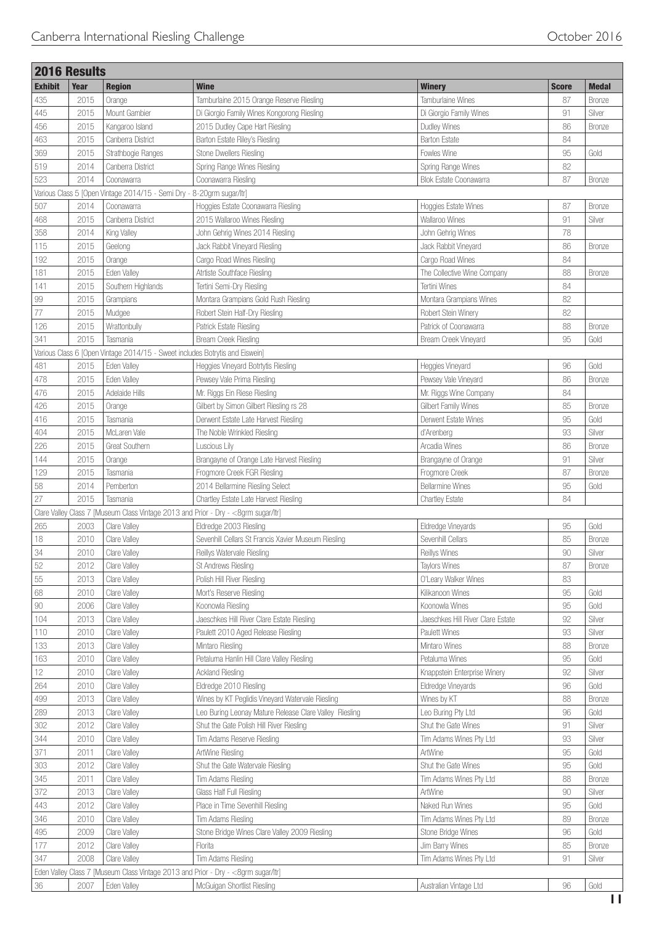ł

|                | <b>2016 Results</b> |                                                                       |                                                                                    |                                   |              |               |
|----------------|---------------------|-----------------------------------------------------------------------|------------------------------------------------------------------------------------|-----------------------------------|--------------|---------------|
| <b>Exhibit</b> | Year                | <b>Region</b>                                                         | <b>Wine</b>                                                                        | <b>Winery</b>                     | <b>Score</b> | <b>Medal</b>  |
| 435            | 2015                | Orange                                                                | Tamburlaine 2015 Orange Reserve Riesling                                           | Tamburlaine Wines                 | 87           | <b>Bronze</b> |
| 445            | 2015                | Mount Gambier                                                         | Di Giorgio Family Wines Kongorong Riesling                                         | Di Giorgio Family Wines           | 91           | Silver        |
| 456            | 2015                | Kangaroo Island                                                       | 2015 Dudley Cape Hart Riesling                                                     | Dudley Wines                      | 86           | <b>Bronze</b> |
| 463            | 2015                | Canberra District                                                     | Barton Estate Riley's Riesling                                                     | <b>Barton Estate</b>              | 84           |               |
| 369            | 2015                | Strathbogie Ranges                                                    | Stone Dwellers Riesling                                                            | Fowles Wine                       | 95           | Gold          |
| 519            | 2014                | Canberra District                                                     | Spring Range Wines Riesling                                                        | Spring Range Wines                | 82           |               |
| 523            | 2014                | Coonawarra                                                            | Coonawarra Riesling                                                                | <b>Blok Estate Coonawarra</b>     | 87           | <b>Bronze</b> |
|                |                     | Various Class 5 [Open Vintage 2014/15 - Semi Dry - 8-20grm sugar/ltr] |                                                                                    |                                   |              |               |
| 507            | 2014                | Coonawarra                                                            | Hoggies Estate Coonawarra Riesling                                                 | Hoggies Estate Wines              | 87           | <b>Bronze</b> |
| 468            | 2015                | Canberra District                                                     | 2015 Wallaroo Wines Riesling                                                       | Wallaroo Wines                    | 91           | Silver        |
| 358            | 2014                | King Valley                                                           | John Gehrig Wines 2014 Riesling                                                    | John Gehrig Wines                 | 78           |               |
| 115            | 2015                | Geelong                                                               | Jack Rabbit Vineyard Riesling                                                      | Jack Rabbit Vineyard              | 86           | <b>Bronze</b> |
| 192            | 2015                | Orange                                                                | Cargo Road Wines Riesling                                                          | Cargo Road Wines                  | 84           |               |
| 181            | 2015                | Eden Valley                                                           | Atrtiste Southface Riesling                                                        | The Collective Wine Company       | 88           | <b>Bronze</b> |
|                |                     |                                                                       |                                                                                    |                                   |              |               |
| 141            | 2015                | Southern Highlands                                                    | Tertini Semi-Dry Riesling                                                          | Tertini Wines                     | 84           |               |
| 99             | 2015                | Grampians                                                             | Montara Grampians Gold Rush Riesling                                               | Montara Grampians Wines           | 82           |               |
| 77             | 2015                | Mudgee                                                                | Robert Stein Half-Dry Riesling                                                     | Robert Stein Winery               | 82           |               |
| 126            | 2015                | Wrattonbully                                                          | Patrick Estate Riesling                                                            | Patrick of Coonawarra             | 88           | <b>Bronze</b> |
| 341            | 2015                | Tasmania                                                              | Bream Creek Riesling                                                               | Bream Creek Vineyard              | 95           | Gold          |
|                |                     |                                                                       | Various Class 6 [Open Vintage 2014/15 - Sweet includes Botrytis and Eiswein]       |                                   |              |               |
| 481            | 2015                | Eden Valley                                                           | Heggies Vineyard Botrtytis Riesling                                                | Heggies Vineyard                  | 96           | Gold          |
| 478            | 2015                | Eden Vallev                                                           | Pewsey Vale Prima Riesling                                                         | Pewsey Vale Vineyard              | 86           | <b>Bronze</b> |
| 476            | 2015                | Adelaide Hills                                                        | Mr. Riggs Ein Riese Riesling                                                       | Mr. Riggs Wine Company            | 84           |               |
| 426            | 2015                | Orange                                                                | Gilbert by Simon Gilbert Riesling rs 28                                            | Gilbert Family Wines              | 85           | Bronze        |
| 416            | 2015                | Tasmania                                                              | Derwent Estate Late Harvest Riesling                                               | Derwent Estate Wines              | 95           | Gold          |
| 404            | 2015                | McLaren Vale                                                          | The Noble Wrinkled Riesling                                                        | d'Arenberg                        | 93           | Silver        |
| 226            | 2015                | Great Southern                                                        | Luscious Lily                                                                      | Arcadia Wines                     | 86           | <b>Bronze</b> |
| 144            | 2015                | Orange                                                                | Brangayne of Orange Late Harvest Riesling                                          | Brangayne of Orange               | 91           | Silver        |
| 129            | 2015                | Tasmania                                                              | Frogmore Creek FGR Riesling                                                        | Frogmore Creek                    | 87           | <b>Bronze</b> |
| 58             | 2014                | Pemberton                                                             | 2014 Bellarmine Riesling Select                                                    | <b>Bellarmine Wines</b>           | 95           | Gold          |
| 27             | 2015                | Tasmania                                                              | Chartley Estate Late Harvest Riesling                                              | <b>Chartley Estate</b>            | 84           |               |
|                |                     |                                                                       | Clare Valley Class 7 [Museum Class Vintage 2013 and Prior - Dry - <8grm sugar/ltr] |                                   |              |               |
| 265            | 2003                | Clare Valley                                                          | Eldredge 2003 Riesling                                                             | Eldredge Vineyards                | 95           | Gold          |
| 18             | 2010                | Clare Valley                                                          | Sevenhill Cellars St Francis Xavier Museum Riesling                                | Sevenhill Cellars                 | 85           | <b>Bronze</b> |
| 34             | 2010                | Clare Valley                                                          | Reillys Watervale Riesling                                                         | Reillys Wines                     | 90           | Silver        |
| 52             | 2012                | Clare Valley                                                          | St Andrews Riesling                                                                | <b>Taylors Wines</b>              | 87           | <b>Bronze</b> |
| 55             | 2013                | Clare Valley                                                          | Polish Hill River Riesling                                                         | O'Leary Walker Wines              | 83           |               |
| 68             | 2010                | Clare Valley                                                          | Mort's Reserve Riesling                                                            | Kilikanoon Wines                  | 95           | Gold          |
| $90\,$         | 2006                | Clare Valley                                                          | Koonowla Riesling                                                                  | Koonowla Wines                    | 95           | Gold          |
| 104            | 2013                | Clare Valley                                                          | Jaeschkes Hill River Clare Estate Riesling                                         | Jaeschkes Hill River Clare Estate | 92           | Silver        |
| 110            | 2010                | Clare Valley                                                          | Paulett 2010 Aged Release Riesling                                                 | Paulett Wines                     | 93           | Silver        |
| 133            | 2013                | Clare Valley                                                          | Mintaro Riesling                                                                   | Mintaro Wines                     | 88           | Bronze        |
| 163            | 2010                | Clare Valley                                                          | Petaluma Hanlin Hill Clare Valley Riesling                                         | Petaluma Wines                    | 95           | Gold          |
| 12             | 2010                | Clare Valley                                                          | Ackland Riesling                                                                   | Knappstein Enterprise Winery      | 92           | Silver        |
|                |                     |                                                                       |                                                                                    |                                   | 96           |               |
| 264            | 2010                | Clare Valley                                                          | Eldredge 2010 Riesling                                                             | Eldredge Vineyards                |              | Gold          |
| 499            | 2013                | Clare Valley                                                          | Wines by KT Peglidis Vineyard Watervale Riesling                                   | Wines by KT                       | 88           | Bronze        |
| 289            | 2013                | Clare Valley                                                          | Leo Buring Leonay Mature Release Clare Valley Riesling                             | Leo Buring Pty Ltd                | 96           | Gold          |
| 302            | 2012                | Clare Valley                                                          | Shut the Gate Polish Hill River Riesling                                           | Shut the Gate Wines               | 91           | Silver        |
| 344            | 2010                | Clare Valley                                                          | Tim Adams Reserve Riesling                                                         | Tim Adams Wines Pty Ltd           | 93           | Silver        |
| 371            | 2011                | Clare Valley                                                          | ArtWine Riesling                                                                   | ArtWine                           | 95           | Gold          |
| 303            | 2012                | Clare Valley                                                          | Shut the Gate Watervale Riesling                                                   | Shut the Gate Wines               | 95           | Gold          |
| 345            | 2011                | Clare Valley                                                          | Tim Adams Riesling                                                                 | Tim Adams Wines Pty Ltd           | 88           | Bronze        |
| 372            | 2013                | Clare Valley                                                          | Glass Half Full Riesling                                                           | ArtWine                           | 90           | Silver        |
| 443            | 2012                | Clare Valley                                                          | Place in Time Sevenhill Riesling                                                   | Naked Run Wines                   | 95           | Gold          |
| 346            | 2010                | Clare Valley                                                          | Tim Adams Riesling                                                                 | Tim Adams Wines Pty Ltd           | 89           | Bronze        |
| 495            | 2009                | Clare Valley                                                          | Stone Bridge Wines Clare Valley 2009 Riesling                                      | Stone Bridge Wines                | 96           | Gold          |
| 177            | 2012                | Clare Valley                                                          | Florita                                                                            | Jim Barry Wines                   | 85           | Bronze        |
| 347            | 2008                | Clare Valley                                                          | Tim Adams Riesling                                                                 | Tim Adams Wines Pty Ltd           | 91           | Silver        |
|                |                     |                                                                       | Eden Valley Class 7 [Museum Class Vintage 2013 and Prior - Dry - < 8grm sugar/ltr] |                                   |              |               |
| $36\,$         | 2007                | Eden Valley                                                           | McGuigan Shortlist Riesling                                                        | Australian Vintage Ltd            | 96           | Gold          |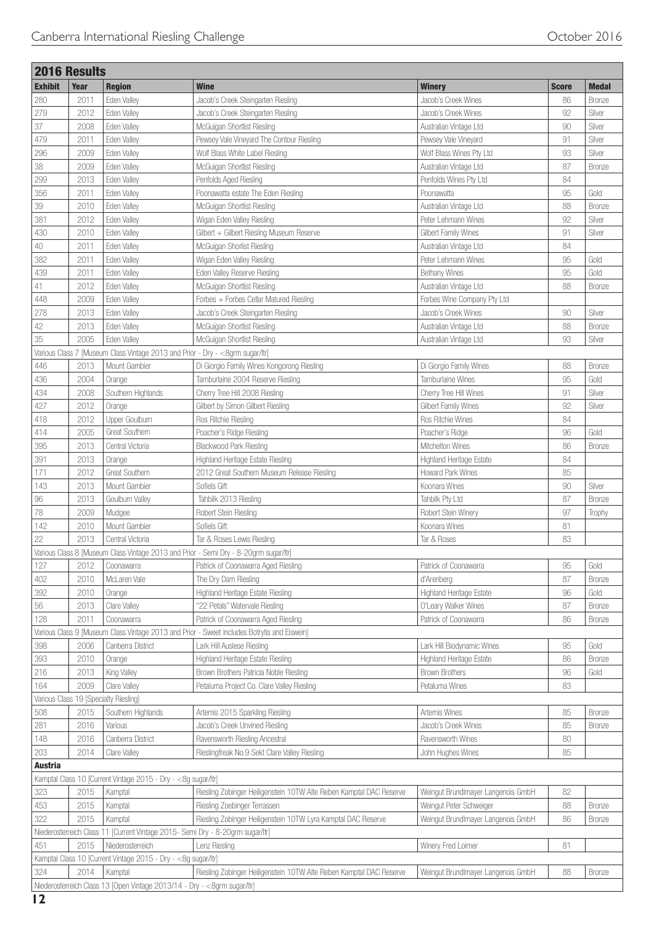| 2016 Results   |      |                                                                                |                                                                                             |                                               |              |               |
|----------------|------|--------------------------------------------------------------------------------|---------------------------------------------------------------------------------------------|-----------------------------------------------|--------------|---------------|
| <b>Exhibit</b> | Year | <b>Region</b>                                                                  | <b>Wine</b>                                                                                 | <b>Winery</b>                                 | <b>Score</b> | <b>Medal</b>  |
| 280            | 2011 | Eden Valley                                                                    | Jacob's Creek Steingarten Riesling                                                          | Jacob's Creek Wines                           | 86           | <b>Bronze</b> |
| 279            | 2012 | Eden Valley                                                                    | Jacob's Creek Steingarten Riesling                                                          | Jacob's Creek Wines                           | 92           | Silver        |
| 37             | 2008 | Eden Valley                                                                    | McGuigan Shortlist Riesling                                                                 | Australian Vintage Ltd                        | 90           | Silver        |
| 479            | 2011 | Eden Valley                                                                    | Pewsey Vale Vineyard The Contour Riesling                                                   | Pewsey Vale Vineyard                          | 91           | Silver        |
| 296            | 2009 | Eden Valley                                                                    | Wolf Blass White Label Riesling                                                             | Wolf Blass Wines Pty Ltd                      | 93           | Silver        |
| 38             | 2009 | Eden Valley                                                                    | McGuigan Shortlist Riesling                                                                 | Australian Vintage Ltd                        | 87           | <b>Bronze</b> |
| 299            | 2013 | Eden Valley                                                                    | Penfolds Aged Riesling                                                                      | Penfolds Wines Pty Ltd                        | 84           |               |
| 356            | 2011 | Eden Valley                                                                    | Poonawatta estate The Eden Riesling                                                         | Poonawatta                                    | 95           | Gold          |
| 39             | 2010 | Eden Valley                                                                    | McGuigan Shortlist Riesling                                                                 | Australian Vintage Ltd                        | 88           | <b>Bronze</b> |
| 381            | 2012 | Eden Valley                                                                    | Wigan Eden Valley Riesling                                                                  | Peter Lehmann Wines                           | 92           | Silver        |
| 430            | 2010 | Eden Valley                                                                    | Gilbert + Gilbert Riesling Museum Reserve                                                   | Gilbert Family Wines                          | 91           | Silver        |
| 40             | 2011 | Eden Valley                                                                    | McGuigan Shorlist Riesling                                                                  | Australian Vintage Ltd                        | 84           |               |
| 382            | 2011 | Eden Valley                                                                    | Wigan Eden Valley Riesling                                                                  | Peter Lehmann Wines                           | 95           | Gold          |
| 439            | 2011 | Eden Valley                                                                    | Eden Valley Reserve Riesling                                                                | <b>Bethany Wines</b>                          | 95           | Gold          |
| $41\,$         | 2012 | Eden Valley                                                                    | McGuigan Shortlist Riesling                                                                 | Australian Vintage Ltd                        | 88           | <b>Bronze</b> |
| 448            | 2009 | Eden Valley                                                                    | Forbes + Forbes Cellar Matured Riesling                                                     | Forbes Wine Company Pty Ltd                   |              |               |
| 278            | 2013 | Eden Valley                                                                    | Jacob's Creek Steingarten Riesling                                                          | Jacob's Creek Wines                           | 90           | Silver        |
| 42             | 2013 | Eden Valley                                                                    | McGuigan Shortlist Riesling                                                                 | Australian Vintage Ltd                        | 88           | Bronze        |
| 35             | 2005 | Eden Valley                                                                    | McGuigan Shortlist Riesling                                                                 | Australian Vintage Ltd                        | 93           | Silver        |
|                |      | Various Class 7 [Museum Class Vintage 2013 and Prior - Dry - <8grm sugar/ltr]  |                                                                                             |                                               |              |               |
| 446            | 2013 | Mount Gambier                                                                  | Di Giorgio Family Wines Kongorong Riesling                                                  | Di Giorgio Family Wines                       | 88           | Bronze        |
| 436            | 2004 | Orange                                                                         | Tamburlaine 2004 Reserve Riesling                                                           | Tamburlaine Wines                             | 95           | Gold          |
| 434            | 2008 | Southern Highlands                                                             | Cherry Tree Hill 2008 Riesling                                                              | Cherry Tree Hill Wines                        | 91           | Silver        |
| 427            | 2012 | Orange                                                                         | Gilbert by Simon Gilbert Riesling                                                           | Gilbert Family Wines                          | 92           | Silver        |
| 418            | 2012 | Upper Goulburn                                                                 | Ros Ritchie Riesling                                                                        | Ros Ritchie Wines                             | 84           |               |
| 414            | 2005 | Great Southern                                                                 | Poacher's Ridge Riesling                                                                    | Poacher's Ridge                               | 96           | Gold          |
| 395            | 2013 | Central Victoria                                                               | Blackwood Park Riesling                                                                     | Mitchelton Wines                              | 86           | <b>Bronze</b> |
| 391            | 2013 |                                                                                |                                                                                             |                                               | 84           |               |
| 171            | 2012 | Orange<br>Great Southern                                                       | Highland Heritage Estate Riesling<br>2012 Great Southern Museum Release Riesling            | Highland Heritage Estate<br>Howard Park Wines | 85           |               |
|                |      |                                                                                |                                                                                             |                                               |              |               |
| 143            | 2013 | Mount Gambier                                                                  | Sofiels Gift                                                                                | Koonara Wines                                 | 90           | Silver        |
| 96             | 2013 | Goulburn Valley                                                                | Tahbilk 2013 Riesling                                                                       | Tahbilk Pty Ltd                               | 87           | Bronze        |
| 78             | 2009 | Mudgee                                                                         | Robert Stein Riesling                                                                       | Robert Stein Winery                           | 97           | Trophy        |
| 142            | 2010 | Mount Gambier                                                                  | Sofiels Gift                                                                                | Koonara Wines                                 | 81           |               |
| 22             | 2013 | Central Victoria                                                               | Tar & Roses Lewis Riesling                                                                  | Tar & Roses                                   | 83           |               |
|                |      |                                                                                | Various Class 8 [Museum Class Vintage 2013 and Prior - Semi Dry - 8-20grm sugar/ltr]        |                                               |              |               |
| 127            | 2012 | Coonawarra                                                                     | Patrick of Coonawarra Aged Riesling                                                         | Patrick of Coonawarra                         | 95           | Gold          |
| 402            | 2010 | McLaren Vale                                                                   | The Dry Dam Riesling                                                                        | d'Arenbera                                    | 87           | <b>Bronze</b> |
| 392            | 2010 | Orange                                                                         | Highland Heritage Estate Riesling                                                           | Highland Heritage Estate                      | 96           | Gold          |
| 56             | 2013 | Clare Valley                                                                   | "22 Petals" Watervale Riesling                                                              | O'Leary Walker Wines                          | 87           | Bronze        |
| 128            | 2011 | Coonawarra                                                                     | Patrick of Coonawarra Aged Riesling                                                         | Patrick of Coonawarra                         | 86           | <b>Bronze</b> |
|                |      |                                                                                | Various Class 9 [Museum Class Vintage 2013 and Prior - Sweet includes Botrytis and Eiswein] |                                               |              |               |
| 398            | 2006 | Canberra District                                                              | Lark Hill Auslese Riesling                                                                  | Lark Hill Biodynamic Wines                    | 95           | Gold          |
| 393            | 2010 | Orange                                                                         | Highland Heritage Estate Riesling                                                           | Highland Heritage Estate                      | 86           | Bronze        |
| 216            | 2013 | King Valley                                                                    | Brown Brothers Patricia Noble Riesling                                                      | <b>Brown Brothers</b>                         | 96           | Gold          |
| 164            | 2009 | Clare Valley                                                                   | Petaluma Project Co. Clare Valley Riesling                                                  | Petaluma Wines                                | 83           |               |
|                |      | Various Class 19 [Specialty Riesling]                                          |                                                                                             |                                               |              |               |
| 508            | 2015 | Southern Highlands                                                             | Artemis 2015 Sparkling Riesling                                                             | Artemis Wines                                 | 85           | Bronze        |
| 281            | 2016 | Various                                                                        | Jacob's Creek Unvined Riesling                                                              | Jacob's Creek Wines                           | 85           | <b>Bronze</b> |
| 148            | 2016 | Canberra District                                                              | Ravensworth Riesling Ancestral                                                              | Ravensworth Wines                             | 80           |               |
| 203            | 2014 | Clare Valley                                                                   | Rieslingfreak No.9 Sekt Clare Valley Riesling                                               | John Hughes Wines                             | 85           |               |
| <b>Austria</b> |      |                                                                                |                                                                                             |                                               |              |               |
|                |      | Kamptal Class 10 [Current Vintage 2015 - Dry - <8g sugar/ltr]                  |                                                                                             |                                               |              |               |
| 323            | 2015 | Kamptal                                                                        | Riesling Zobinger Heiligenstein 10TW Alte Reben Kamptal DAC Reserve                         | Weingut Brundlmayer Langenois GmbH            | 82           |               |
| 453            | 2015 | Kamptal                                                                        | Riesling Zoebinger Terrassen                                                                | Weingut Peter Schweiger                       | 88           | Bronze        |
| 322            | 2015 | Kamptal                                                                        | Riesling Zobinger Heiligenstein 10TW Lyra Kamptal DAC Reserve                               | Weingut Brundlmayer Langenois GmbH            | 86           | Bronze        |
|                |      | Niederosterreich Class 11 [Current Vintage 2015- Semi Dry - 8-20grm sugar/ltr] |                                                                                             |                                               |              |               |
| 451            | 2015 | Niederosterreich                                                               | Lenz Riesling                                                                               | Winery Fred Loimer                            | 81           |               |
|                |      | Kamptal Class 10 [Current Vintage 2015 - Dry - <8g sugar/ltr]                  |                                                                                             |                                               |              |               |
| 324            | 2014 | Kamptal                                                                        | Riesling Zobinger Heiligenstein 10TW Alte Reben Kamptal DAC Reserve                         | Weingut Brundlmayer Langenois GmbH            | 88           | <b>Bronze</b> |
|                |      | Niederosterreich Class 13 [Open Vintage 2013/14 - Dry - < 8grm sugar/ltr]      |                                                                                             |                                               |              |               |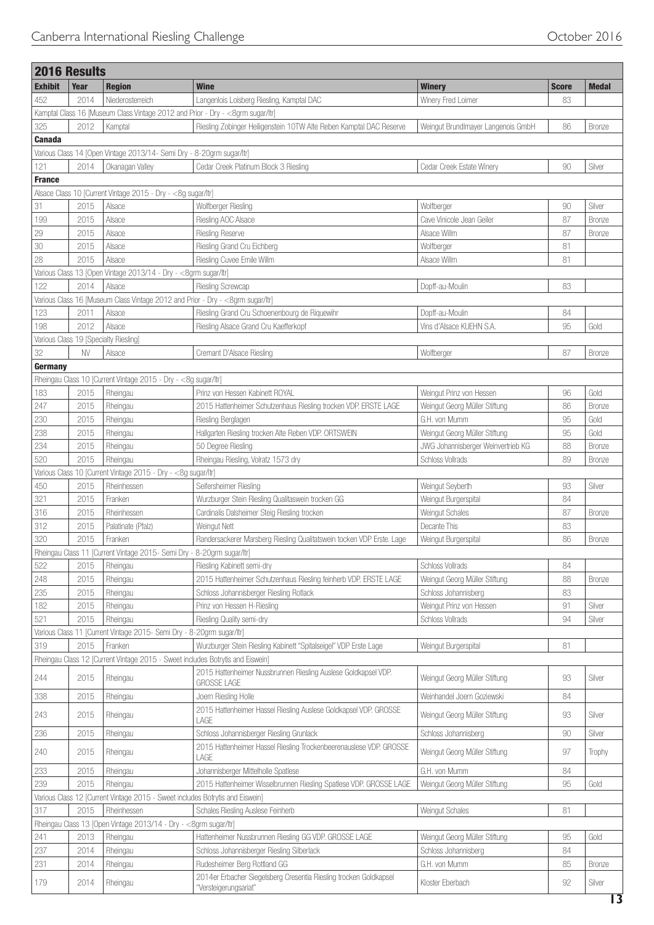|                | <b>2016 Results</b> |                                                                       |                                                                                            |                                    |              |               |
|----------------|---------------------|-----------------------------------------------------------------------|--------------------------------------------------------------------------------------------|------------------------------------|--------------|---------------|
| <b>Exhibit</b> | Year                | <b>Region</b>                                                         | <b>Wine</b>                                                                                | <b>Winery</b>                      | <b>Score</b> | <b>Medal</b>  |
| 452            | 2014                | Niederosterreich                                                      | Langenlois Loisberg Riesling, Kamptal DAC                                                  | Winery Fred Loimer                 | 83           |               |
|                |                     |                                                                       | Kamptal Class 16 [Museum Class Vintage 2012 and Prior - Dry - < 8grm sugar/ltr]            |                                    |              |               |
| 325            | 2012                | Kamptal                                                               | Riesling Zobinger Heiligenstein 10TW Alte Reben Kamptal DAC Reserve                        | Weingut Brundlmayer Langenois GmbH | 86           | Bronze        |
| <b>Canada</b>  |                     |                                                                       |                                                                                            |                                    |              |               |
|                |                     |                                                                       | Various Class 14 [Open Vintage 2013/14- Semi Dry - 8-20grm sugar/ltr]                      |                                    |              |               |
| 121            | 2014                | Okanagan Valley                                                       | Cedar Creek Platinum Block 3 Riesling                                                      | Cedar Creek Estate Winery          | 90           | Silver        |
| <b>France</b>  |                     |                                                                       |                                                                                            |                                    |              |               |
|                |                     | Alsace Class 10 [Current Vintage 2015 - Dry - <8g sugar/ltr]          |                                                                                            |                                    |              |               |
| 31             | 2015                | Alsace                                                                | Wolfberger Riesling                                                                        | Wolfberger                         | 90           | Silver        |
| 199            | 2015                | Alsace                                                                | Riesling AOC Alsace                                                                        | Cave Vinicole Jean Geiler          | 87           | Bronze        |
| 29             | 2015                | Alsace                                                                | <b>Riesling Reserve</b>                                                                    | Alsace Willm                       | 87           | Bronze        |
| 30             | 2015                | Alsace                                                                | Riesling Grand Cru Eichberg                                                                | Wolfberger                         | 81           |               |
| 28             | 2015                | Alsace                                                                | Riesling Cuvee Emile Willm                                                                 | Alsace Willm                       | 81           |               |
|                |                     | Various Class 13 [Open Vintage 2013/14 - Dry - < 8grm sugar/ltr]      |                                                                                            |                                    |              |               |
| 122            | 2014                | Alsace                                                                | <b>Riesling Screwcap</b>                                                                   | Dopff-au-Moulin                    | 83           |               |
|                |                     |                                                                       | Various Class 16 [Museum Class Vintage 2012 and Prior - Dry - <8grm sugar/ltr]             |                                    |              |               |
| 123            | 2011                | Alsace                                                                | Riesling Grand Cru Schoenenbourg de Riquewihr                                              | Dopff-au-Moulin                    | 84           |               |
| 198            | 2012                | Alsace                                                                | Riesling Alsace Grand Cru Kaefferkopf                                                      | Vins d'Alsace KUEHN S.A.           | 95           | Gold          |
|                |                     | Various Class 19 [Specialty Riesling]                                 |                                                                                            |                                    |              |               |
| 32             | <b>NV</b>           | Alsace                                                                | Cremant D'Alsace Riesling                                                                  | Wolfberger                         | 87           | Bronze        |
| Germany        |                     |                                                                       |                                                                                            |                                    |              |               |
|                |                     | Rheingau Class 10 [Current Vintage 2015 - Dry - <8g sugar/ltr]        |                                                                                            |                                    |              |               |
| 183            | 2015                | Rheingau                                                              | Prinz von Hessen Kabinett ROYAL                                                            | Weingut Prinz von Hessen           | 96           | Gold          |
| 247            | 2015                | Rheingau                                                              | 2015 Hattenheimer Schutzenhaus Riesling trocken VDP. ERSTE LAGE                            | Weingut Georg Müller Stiftung      | 86           | Bronze        |
| 230            | 2015                | Rheingau                                                              | Riesling Berglagen                                                                         | G.H. von Mumm                      | 95           | Gold          |
| 238            | 2015                | Rheingau                                                              | Hallgarten Riesling trocken Alte Reben VDP. ORTSWEIN                                       | Weingut Georg Müller Stiftung      | 95           | Gold          |
| 234            | 2015                | Rheingau                                                              | 50 Degree Riesling                                                                         | JWG Johannisberger Weinvertrieb KG | 88           | <b>Bronze</b> |
| 520            | 2015                | Rheingau                                                              | Rheingau Riesling, Volratz 1573 dry                                                        | Schloss Vollrads                   | 89           | <b>Bronze</b> |
|                |                     | Various Class 10 [Current Vintage 2015 - Dry - <8g sugar/ltr]         |                                                                                            |                                    |              |               |
| 450            | 2015                | Rheinhessen                                                           | Seifersheimer Riesling                                                                     | Weingut Seyberth                   | 93           | Silver        |
| 321            | 2015                | Franken                                                               | Wurzburger Stein Riesling Qualitaswein trocken GG                                          | Weingut Burgerspital               | 84           |               |
| 316            | 2015                | Rheinhessen                                                           | Cardinalis Dalsheimer Steig Riesling trocken                                               | Weingut Schales                    | 87           | Bronze        |
| 312            | 2015                | Palatinate (Pfalz)                                                    | Weingut Nett                                                                               | Decante This                       | 83           |               |
| 320            | 2015                | Franken                                                               | Randersackerer Marsberg Riesling Qualitatswein tocken VDP Erste. Lage                      | Weingut Burgerspital               | 86           | Bronze        |
|                |                     |                                                                       | Rheingau Class 11 [Current Vintage 2015- Semi Dry - 8-20grm sugar/ltr]                     |                                    |              |               |
| 522            | 2015                | Rheingau                                                              | Riesling Kabinett semi-dry                                                                 | <b>Schloss Vollrads</b>            | 84           |               |
| 248            | 2015                | Rheingau                                                              | 2015 Hattenheimer Schutzenhaus Riesling feinherb VDP. ERSTE LAGE                           | Weingut Georg Müller Stiftung      | 88           | Bronze        |
| 235            | 2015                | Rheingau                                                              | Schloss Johannisberger Riesling Rotlack                                                    | Schloss Johannisberg               | 83           |               |
| 182            | 2015                | Rheingau                                                              | Prinz von Hessen H-Riesling                                                                | Weingut Prinz von Hessen           | 91           | Silver        |
| 521            | 2015                | Rheingau                                                              | Riesling Quality semi-dry                                                                  | Schloss Vollrads                   | 94           | Silver        |
|                |                     | Various Class 11 [Current Vintage 2015- Semi Dry - 8-20grm sugar/ltr] |                                                                                            |                                    |              |               |
| 319            | 2015                | Franken                                                               | Wurzburger Stein Riesling Kabinett "Spitalseigel" VDP Erste Lage                           | Weingut Burgerspital               | 81           |               |
|                |                     |                                                                       | Rheingau Class 12 [Current Vintage 2015 - Sweet includes Botrytis and Eiswein]             |                                    |              |               |
| 244            | 2015                | Rheingau                                                              | 2015 Hattenheimer Nussbrunnen Riesling Auslese Goldkapsel VDP.<br><b>GROSSE LAGE</b>       | Weingut Georg Müller Stiftung      | 93           | Silver        |
| 338            | 2015                | Rheingau                                                              | Joern Riesling Holle                                                                       | Weinhandel Joern Goziewski         | 84           |               |
| 243            | 2015                | Rheingau                                                              | 2015 Hattenheimer Hassel Riesling Auslese Goldkapsel VDP. GROSSE<br>LAGE                   | Weingut Georg Müller Stiftung      | 93           | Silver        |
| 236            | 2015                | Rheingau                                                              | Schloss Johannisberger Riesling Grunlack                                                   | Schloss Johannisberg               | 90           | Silver        |
| 240            | 2015                | Rheingau                                                              | 2015 Hattenheimer Hassel Riesling Trockenbeerenauslese VDP. GROSSE<br>LAGE                 | Weingut Georg Müller Stiftung      | 97           | Trophy        |
| 233            | 2015                | Rheingau                                                              | Johannisberger Mittelholle Spatlese                                                        | G.H. von Mumm                      | 84           |               |
| 239            | 2015                | Rheingau                                                              | 2015 Hattenheimer Wisselbrunnen Riesling Spatlese VDP. GROSSE LAGE                         | Weingut Georg Müller Stiftung      | 95           | Gold          |
|                |                     |                                                                       | Various Class 12 [Current Vintage 2015 - Sweet includes Botrytis and Eiswein]              |                                    |              |               |
| 317            | 2015                | Rheinhessen                                                           | Schales Riesling Auslese Feinherb                                                          | Weingut Schales                    | 81           |               |
|                |                     | Rheingau Class 13 [Open Vintage 2013/14 - Dry - < 8grm sugar/ltr]     |                                                                                            |                                    |              |               |
| 241            | 2013                | Rheingau                                                              | Hattenheimer Nussbrunnen Riesling GG VDP. GROSSE LAGE                                      | Weingut Georg Müller Stiftung      | 95           | Gold          |
| 237            | 2014                | Rheingau                                                              | Schloss Johannisberger Riesling Silberlack                                                 | Schloss Johannisberg               | 84           |               |
| 231            | 2014                | Rheingau                                                              | Rudesheimer Berg Rottland GG                                                               | G.H. von Mumm                      | 85           | <b>Bronze</b> |
| 179            | 2014                | Rheingau                                                              | 2014er Erbacher Siegelsberg Cresentia Riesling trocken Goldkapsel<br>"Versteigerungsariat" | Kloster Eberbach                   | 92           | Silver        |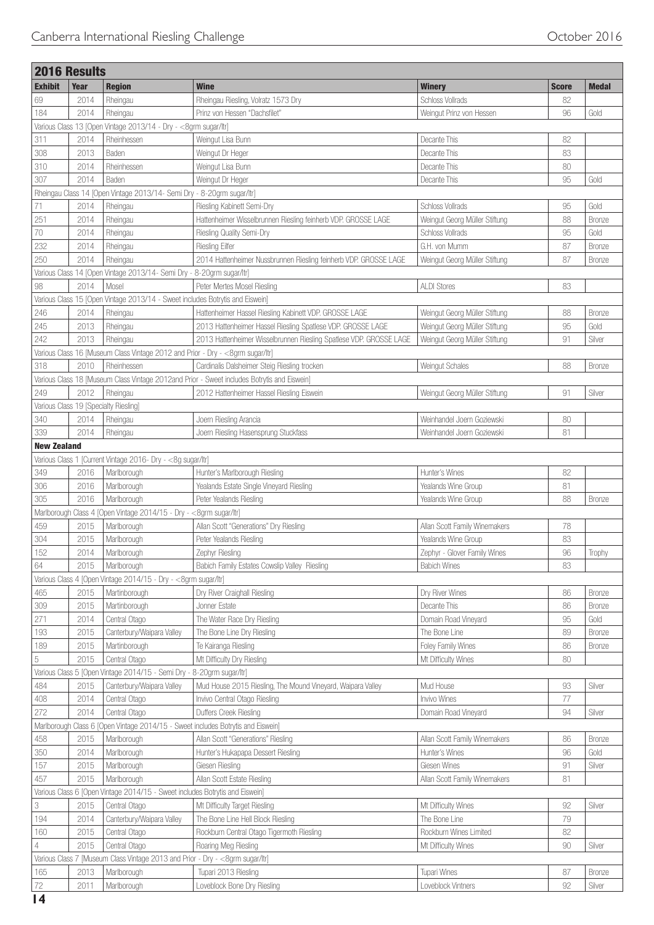| <b>2016 Results</b> |              |                                                                                  |                                                                                             |                               |              |               |
|---------------------|--------------|----------------------------------------------------------------------------------|---------------------------------------------------------------------------------------------|-------------------------------|--------------|---------------|
| <b>Exhibit</b>      | <b>Year</b>  | <b>Region</b>                                                                    | <b>Wine</b>                                                                                 | <b>Winery</b>                 | <b>Score</b> | <b>Medal</b>  |
| 69                  | 2014         | Rheingau                                                                         | Rheingau Riesling, Volratz 1573 Dry                                                         | <b>Schloss Vollrads</b>       | 82           |               |
| 184                 | 2014         | Rheingau                                                                         | Prinz von Hessen "Dachsfilet"                                                               | Weingut Prinz von Hessen      | 96           | Gold          |
|                     |              | Various Class 13 [Open Vintage 2013/14 - Dry - <8grm sugar/ltr]                  |                                                                                             |                               |              |               |
| 311                 | 2014         | Rheinhessen                                                                      | Weingut Lisa Bunn                                                                           | Decante This                  | 82           |               |
| 308                 | 2013         | Baden                                                                            | Weingut Dr Heger                                                                            | Decante This                  | 83           |               |
| 310                 | 2014         | Rheinhessen                                                                      | Weingut Lisa Bunn                                                                           | Decante This                  | 80           |               |
| 307                 | 2014         | Baden                                                                            | Weingut Dr Heger                                                                            | Decante This                  | 95           | Gold          |
|                     |              | Rheingau Class 14 [Open Vintage 2013/14- Semi Dry - 8-20grm sugar/ltr]           |                                                                                             |                               |              |               |
| 71                  | 2014         | Rheingau                                                                         | Riesling Kabinett Semi-Dry                                                                  | <b>Schloss Vollrads</b>       | 95           | Gold          |
| 251                 | 2014         | Rheingau                                                                         | Hattenheimer Wisselbrunnen Riesling feinherb VDP. GROSSE LAGE                               | Weingut Georg Müller Stiftung | 88           | Bronze        |
| 70                  | 2014         | Rheingau                                                                         | Riesling Quality Semi-Dry                                                                   | Schloss Vollrads              | 95           | Gold          |
| 232                 | 2014         | Rheingau                                                                         | <b>Riesling Eilfer</b>                                                                      | G.H. von Mumm                 | 87           | Bronze        |
| 250                 | 2014         | Rheingau                                                                         | 2014 Hattenheimer Nussbrunnen Riesling feinherb VDP. GROSSE LAGE                            | Weingut Georg Müller Stiftung | 87           | Bronze        |
|                     |              | Various Class 14 [Open Vintage 2013/14- Semi Dry - 8-20grm sugar/ltr]            |                                                                                             |                               |              |               |
| 98                  | 2014         | Mosel                                                                            | Peter Mertes Mosel Riesling                                                                 | <b>ALDI Stores</b>            | 83           |               |
|                     |              | Various Class 15 [Open Vintage 2013/14 - Sweet includes Botrytis and Eiswein]    |                                                                                             |                               |              |               |
| 246                 | 2014         | Rheingau                                                                         | Hattenheimer Hassel Riesling Kabinett VDP. GROSSE LAGE                                      | Weingut Georg Müller Stiftung | 88           | Bronze        |
| 245                 | 2013         | Rheingau                                                                         | 2013 Hattenheimer Hassel Riesling Spatlese VDP. GROSSE LAGE                                 | Weingut Georg Müller Stiftung | 95           | Gold          |
| 242                 | 2013         | Rheingau                                                                         | 2013 Hattenheimer Wisselbrunnen Riesling Spatlese VDP. GROSSE LAGE                          | Weingut Georg Müller Stiftung | 91           | Silver        |
|                     |              | Various Class 16 [Museum Class Vintage 2012 and Prior - Dry - < 8grm sugar/ltr]  |                                                                                             |                               |              |               |
| 318                 | 2010         | Rheinhessen                                                                      | Cardinalis Dalsheimer Steig Riesling trocken                                                | Weingut Schales               | 88           | Bronze        |
|                     |              |                                                                                  | Various Class 18 [Museum Class Vintage 2012and Prior - Sweet includes Botrytis and Eiswein] |                               |              |               |
| 249                 | 2012         | Rheingau                                                                         | 2012 Hattenheimer Hassel Riesling Eiswein                                                   | Weingut Georg Müller Stiftung | 91           | Silver        |
|                     |              | Various Class 19 [Specialty Riesling]                                            |                                                                                             |                               |              |               |
| 340                 | 2014         | Rheingau                                                                         | Joern Riesling Arancia                                                                      | Weinhandel Joern Goziewski    | 80           |               |
| 339                 | 2014         | Rheingau                                                                         | Joern Riesling Hasensprung Stuckfass                                                        | Weinhandel Joern Goziewski    | 81           |               |
| <b>New Zealand</b>  |              |                                                                                  |                                                                                             |                               |              |               |
|                     |              | Various Class 1 [Current Vintage 2016- Dry - <8g sugar/ltr]                      |                                                                                             |                               |              |               |
|                     |              |                                                                                  |                                                                                             | Hunter's Wines                | 82           |               |
| 349                 | 2016         | Marlborough                                                                      | Hunter's Marlborough Riesling                                                               |                               | 81           |               |
| 306                 | 2016<br>2016 | Marlborough<br>Marlborough                                                       | Yealands Estate Single Vineyard Riesling                                                    | Yealands Wine Group           | 88           |               |
| 305                 |              |                                                                                  | Peter Yealands Riesling                                                                     | Yealands Wine Group           |              | Bronze        |
|                     |              | Marlborough Class 4 [Open Vintage 2014/15 - Dry - <8grm sugar/ltr]               |                                                                                             |                               |              |               |
| 459                 | 2015         | Marlborough                                                                      | Allan Scott "Generations" Dry Riesling                                                      | Allan Scott Family Winemakers | 78           |               |
| 304                 | 2015         | Marlborough                                                                      | Peter Yealands Riesling                                                                     | Yealands Wine Group           | 83           |               |
| 152                 | 2014         | Marlborough                                                                      | Zephyr Riesling                                                                             | Zephyr - Glover Family Wines  | 96           | Trophy        |
| 64                  | 2015         | Marlborough                                                                      | Babich Family Estates Cowslip Valley Riesling                                               | <b>Babich Wines</b>           | 83           |               |
|                     |              | Various Class 4 [Open Vintage 2014/15 - Dry - < 8grm sugar/ltr]                  |                                                                                             |                               |              |               |
| 465                 | 2015         | Martinborough                                                                    | Dry River Craighall Riesling                                                                | Dry River Wines               | 86           | Bronze        |
| 309                 | 2015         | Martinborough                                                                    | Jonner Estate                                                                               | Decante This                  | 86           | Bronze        |
| 271                 | 2014         | Central Otago                                                                    | The Water Race Dry Riesling                                                                 | Domain Road Vineyard          | 95           | Gold          |
| 193                 | 2015         | Canterbury/Waipara Valley                                                        | The Bone Line Dry Riesling                                                                  | The Bone Line                 | 89           | <b>Bronze</b> |
| 189                 | 2015         | Martinborough                                                                    | Te Kairanga Riesling                                                                        | Foley Family Wines            | 86           | <b>Bronze</b> |
| $\mathbf 5$         | 2015         | Central Otago                                                                    | Mt Difficulty Dry Riesling                                                                  | Mt Difficulty Wines           | 80           |               |
|                     |              | Various Class 5 [Open Vintage 2014/15 - Semi Dry - 8-20grm sugar/ltr]            |                                                                                             |                               |              |               |
| 484                 | 2015         | Canterbury/Waipara Valley                                                        | Mud House 2015 Riesling, The Mound Vineyard, Waipara Valley                                 | Mud House                     | 93           | Silver        |
| 408                 | 2014         | Central Otago                                                                    | Invivo Central Otago Riesling                                                               | Invivo Wines                  | 77           |               |
| 272                 | 2014         | Central Otago                                                                    | Duffers Creek Riesling                                                                      | Domain Road Vineyard          | 94           | Silver        |
|                     |              | Marlborough Class 6 [Open Vintage 2014/15 - Sweet includes Botrytis and Eiswein] |                                                                                             |                               |              |               |
| 458                 | 2015         | Marlborough                                                                      | Allan Scott "Generations" Riesling                                                          | Allan Scott Family Winemakers | 86           | Bronze        |
| 350                 | 2014         | Marlborough                                                                      | Hunter's Hukapapa Dessert Riesling                                                          | Hunter's Wines                | 96           | Gold          |
| 157                 | 2015         | Marlborough                                                                      | Giesen Riesling                                                                             | Giesen Wines                  | 91           | Silver        |
| 457                 | 2015         | Marlborough                                                                      | Allan Scott Estate Riesling                                                                 | Allan Scott Family Winemakers | 81           |               |
|                     |              | Various Class 6 [Open Vintage 2014/15 - Sweet includes Botrytis and Eiswein]     |                                                                                             |                               |              |               |
| 3                   | 2015         | Central Otago                                                                    | Mt Difficulty Target Riesling                                                               | Mt Difficulty Wines           | 92           | Silver        |
| 194                 | 2014         | Canterbury/Waipara Valley                                                        | The Bone Line Hell Block Riesling                                                           | The Bone Line                 | 79           |               |
| 160                 | 2015         | Central Otago                                                                    | Rockburn Central Otago Tigermoth Riesling                                                   | Rockburn Wines Limited        | 82           |               |
| 4                   | 2015         | Central Otago                                                                    | Roaring Meg Riesling                                                                        | Mt Difficulty Wines           | 90           | Silver        |
|                     |              | Various Class 7 [Museum Class Vintage 2013 and Prior - Dry - <8grm sugar/ltr]    |                                                                                             |                               |              |               |
| 165                 | 2013         | Marlborough                                                                      | Tupari 2013 Riesling                                                                        | <b>Tupari Wines</b>           | 87           | Bronze        |
| $72\,$              | 2011         | Marlborough                                                                      | Loveblock Bone Dry Riesling                                                                 | Loveblock Vintners            | 92           | Silver        |